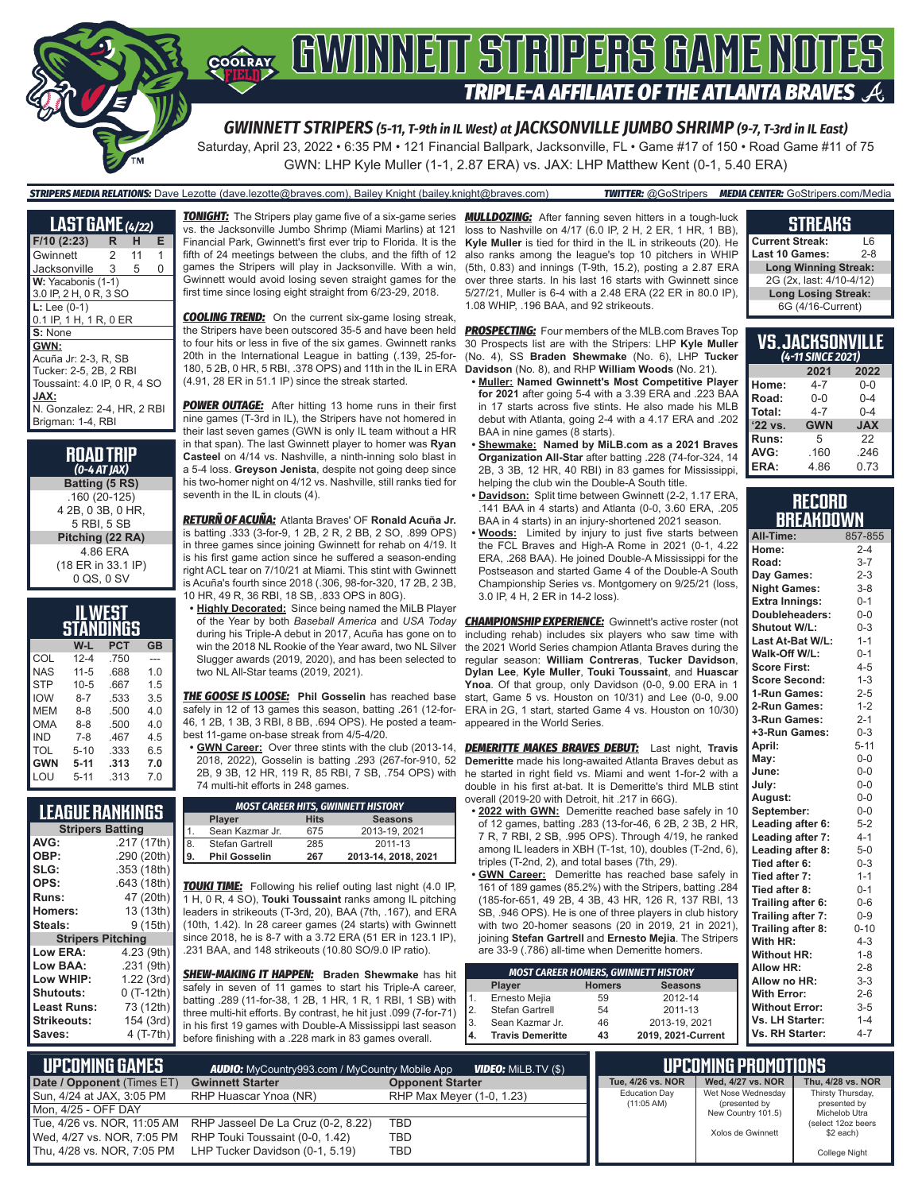

GWN: LHP Kyle Muller (1-1, 2.87 ERA) vs. JAX: LHP Matthew Kent (0-1, 5.40 ERA)

#### *STRIPERS MEDIA RELATIONS:* Dave Lezotte (dave.lezotte@braves.com), Bailey Knight (bailey.knight@braves.com) *TWITTER:* @GoStripers *MEDIA CENTER:* GoStripers.com/Media

| <b>LAST GAME</b> (4/22)      |   |    |   |
|------------------------------|---|----|---|
| F/10(2:23)                   | R | н  | Е |
| Gwinnett                     | 2 | 11 | 1 |
| Jacksonville                 | 3 | 5  | 0 |
| W: Yacabonis (1-1)           |   |    |   |
| 3.0 IP, 2 H, 0 R, 3 SO       |   |    |   |
| $L:$ Lee $(0-1)$             |   |    |   |
| 0.1 IP, 1 H, 1 R, 0 ER       |   |    |   |
| S: None                      |   |    |   |
| GWN:                         |   |    |   |
| Acuña Jr: 2-3, R, SB         |   |    |   |
| Tucker: 2-5, 2B, 2 RBI       |   |    |   |
| Toussaint: 4.0 IP, 0 R, 4 SO |   |    |   |
| JAX:                         |   |    |   |
| N. Gonzalez: 2-4, HR, 2 RBI  |   |    |   |
| Brigman: 1-4, RBI            |   |    |   |
|                              |   |    |   |

| <b>ROAD TRIP</b><br>$(0-4 AT IAX)$ |
|------------------------------------|
| Batting (5 RS)                     |
| .160 (20-125)                      |
| 4 2B, 0 3B, 0 HR,                  |
| 5 RBI, 5 SB                        |
| Pitching (22 RA)                   |
| 4.86 ERA                           |
| (18 ER in 33.1 IP)                 |
| 0 QS, 0 SV                         |

| IL WEST<br>STANDINGS |          |            |           |
|----------------------|----------|------------|-----------|
|                      | W-L      | <b>PCT</b> | <b>GB</b> |
| COL                  | $12 - 4$ | .750       |           |
| NAS.                 | $11 - 5$ | .688       | 1.0       |
| <b>STP</b>           | $10 - 5$ | .667       | 1.5       |
| <b>IOW</b>           | $8 - 7$  | .533       | 3.5       |
| MEM                  | $8 - 8$  | .500       | 4 N       |
| OMA                  | $8 - 8$  | .500       | 4.0       |
| IND                  | $7 - 8$  | .467       | 4.5       |
| TOL                  | $5 - 10$ | .333       | 6.5       |
| <b>GWN</b>           | $5 - 11$ | .313       | 7.0       |
| LOU                  | $5 - 11$ | .313       | 7.0       |

**LEAGUE RANKINGS**

*TONIGHT:* The Stripers play game five of a six-game series *MULLDOZING:* After fanning seven hitters in a tough-luck vs. the Jacksonville Jumbo Shrimp (Miami Marlins) at 121 Financial Park, Gwinnett's first ever trip to Florida. It is the fifth of 24 meetings between the clubs, and the fifth of 12 games the Stripers will play in Jacksonville. With a win, Gwinnett would avoid losing seven straight games for the first time since losing eight straight from 6/23-29, 2018.

**COOLING TREND:** On the current six-game losing streak, the Stripers have been outscored 35-5 and have been held to four hits or less in five of the six games. Gwinnett ranks 20th in the International League in batting (.139, 25-for-180, 5 2B, 0 HR, 5 RBI, .378 OPS) and 11th in the IL in ERA (4.91, 28 ER in 51.1 IP) since the streak started.

*POWER OUTAGE:* After hitting 13 home runs in their first nine games (T-3rd in IL), the Stripers have not homered in their last seven games (GWN is only IL team without a HR in that span). The last Gwinnett player to homer was **Ryan Casteel** on 4/14 vs. Nashville, a ninth-inning solo blast in a 5-4 loss. **Greyson Jenista**, despite not going deep since his two-homer night on 4/12 vs. Nashville, still ranks tied for seventh in the IL in clouts (4).

*RETURÑ OF ACUÑA:* Atlanta Braves' OF **Ronald Acuña Jr.** is batting .333 (3-for-9, 1 2B, 2 R, 2 BB, 2 SO, .899 OPS) in three games since joining Gwinnett for rehab on 4/19. It is his first game action since he suffered a season-ending right ACL tear on 7/10/21 at Miami. This stint with Gwinnett is Acuña's fourth since 2018 (.306, 98-for-320, 17 2B, 2 3B, 10 HR, 49 R, 36 RBI, 18 SB, .833 OPS in 80G).

**• Highly Decorated:** Since being named the MiLB Player of the Year by both *Baseball America* and *USA Today* during his Triple-A debut in 2017, Acuña has gone on to win the 2018 NL Rookie of the Year award, two NL Silver Slugger awards (2019, 2020), and has been selected to two NL All-Star teams (2019, 2021).

*THE GOOSE IS LOOSE:* **Phil Gosselin** has reached base safely in 12 of 13 games this season, batting .261 (12-for-46, 1 2B, 1 3B, 3 RBI, 8 BB, .694 OPS). He posted a teambest 11-game on-base streak from 4/5-4/20.

**• GWN Career:** Over three stints with the club (2013-14, 2018, 2022), Gosselin is batting .293 (267-for-910, 52 2B, 9 3B, 12 HR, 119 R, 85 RBI, 7 SB, .754 OPS) with 74 multi-hit efforts in 248 games.

| .CAQOE NAMNINQƏ          |                         |  |  |  |  |
|--------------------------|-------------------------|--|--|--|--|
|                          | <b>Stripers Batting</b> |  |  |  |  |
| AVG:                     | .217 (17th)             |  |  |  |  |
| OBP:                     | .290 (20th)             |  |  |  |  |
| SLG:                     | .353 (18th)             |  |  |  |  |
| OPS:                     | .643(18th)              |  |  |  |  |
| Runs:                    | 47 (20th)               |  |  |  |  |
| <b>Homers:</b>           | 13 (13th)               |  |  |  |  |
| Steals:                  | 9 (15th)                |  |  |  |  |
| <b>Stripers Pitching</b> |                         |  |  |  |  |
| <b>Low ERA:</b>          | 4.23 (9th)              |  |  |  |  |
| Low BAA:                 | .231(9th)               |  |  |  |  |
| Low WHIP:                | 1.22 (3rd)              |  |  |  |  |
| <b>Shutouts:</b>         | 0 (T-12th)              |  |  |  |  |
| Least Runs:              | 73 (12th)               |  |  |  |  |
| Strikeouts:              | 154 (3rd)               |  |  |  |  |
| Saves:                   | 4 (T-7th)               |  |  |  |  |

|                         | <b>MOST CAREER HITS, GWINNETT HISTORY</b> |                      |      |                     |
|-------------------------|-------------------------------------------|----------------------|------|---------------------|
|                         |                                           | <b>Player</b>        | Hits | <b>Seasons</b>      |
|                         |                                           | Sean Kazmar Jr.      | 675  | 2013-19, 2021       |
| $\overline{\mathsf{h}}$ | 18.                                       | Stefan Gartrell      | 285  | 2011-13             |
| h)                      |                                           | <b>Phil Gosselin</b> | 267  | 2013-14, 2018, 2021 |

**TOUKI TIME:** Following his relief outing last night (4.0 IP, 1 H, 0 R, 4 SO), **Touki Toussaint** ranks among IL pitching leaders in strikeouts (T-3rd, 20), BAA (7th, .167), and ERA (10th, 1.42). In 28 career games (24 starts) with Gwinnett since 2018, he is 8-7 with a 3.72 ERA (51 ER in 123.1 IP), .231 BAA, and 148 strikeouts (10.80 SO/9.0 IP ratio).

*SHEW-MAKING IT HAPPEN:* **Braden Shewmake** has hit safely in seven of 11 games to start his Triple-A career, batting .289 (11-for-38, 1 2B, 1 HR, 1 R, 1 RBI, 1 SB) with three multi-hit efforts. By contrast, he hit just .099 (7-for-71) in his first 19 games with Double-A Mississippi last season before finishing with a .228 mark in 83 games overall.

loss to Nashville on 4/17 (6.0 IP, 2 H, 2 ER, 1 HR, 1 BB), **Kyle Muller** is tied for third in the IL in strikeouts (20). He also ranks among the league's top 10 pitchers in WHIP (5th, 0.83) and innings (T-9th, 15.2), posting a 2.87 ERA over three starts. In his last 16 starts with Gwinnett since 5/27/21, Muller is 6-4 with a 2.48 ERA (22 ER in 80.0 IP), 1.08 WHIP, .196 BAA, and 92 strikeouts.

**PROSPECTING:** Four members of the MLB.com Braves Top 30 Prospects list are with the Stripers: LHP **Kyle Muller** (No. 4), SS **Braden Shewmake** (No. 6), LHP **Tucker Davidson** (No. 8), and RHP **William Woods** (No. 21).

- **• Muller: Named Gwinnett's Most Competitive Player for 2021** after going 5-4 with a 3.39 ERA and .223 BAA in 17 starts across five stints. He also made his MLB debut with Atlanta, going 2-4 with a 4.17 ERA and .202 BAA in nine games (8 starts).
- **• Shewmake: Named by MiLB.com as a 2021 Braves Organization All-Star** after batting .228 (74-for-324, 14 2B, 3 3B, 12 HR, 40 RBI) in 83 games for Mississippi, helping the club win the Double-A South title.
- **• Davidson:** Split time between Gwinnett (2-2, 1.17 ERA, .141 BAA in 4 starts) and Atlanta (0-0, 3.60 ERA, .205 BAA in 4 starts) in an injury-shortened 2021 season.
- **• Woods:** Limited by injury to just five starts between the FCL Braves and High-A Rome in 2021 (0-1, 4.22 ERA, .268 BAA). He joined Double-A Mississippi for the Postseason and started Game 4 of the Double-A South Championship Series vs. Montgomery on 9/25/21 (loss, 3.0 IP, 4 H, 2 ER in 14-2 loss).

*CHAMPIONSHIP EXPERIENCE:* Gwinnett's active roster (not including rehab) includes six players who saw time with the 2021 World Series champion Atlanta Braves during the regular season: **William Contreras**, **Tucker Davidson**, **Dylan Lee**, **Kyle Muller**, **Touki Toussaint**, and **Huascar Ynoa**. Of that group, only Davidson (0-0, 9.00 ERA in 1 start, Game 5 vs. Houston on 10/31) and Lee (0-0, 9.00 ERA in 2G, 1 start, started Game 4 vs. Houston on 10/30) appeared in the World Series.

*DEMERITTE MAKES BRAVES DEBUT:* Last night, **Travis Demeritte** made his long-awaited Atlanta Braves debut as he started in right field vs. Miami and went 1-for-2 with a double in his first at-bat. It is Demeritte's third MLB stint overall (2019-20 with Detroit, hit .217 in 66G).

- **• 2022 with GWN:** Demeritte reached base safely in 10 of 12 games, batting .283 (13-for-46, 6 2B, 2 3B, 2 HR, 7 R, 7 RBI, 2 SB, .995 OPS). Through 4/19, he ranked among IL leaders in XBH (T-1st, 10), doubles (T-2nd, 6), triples (T-2nd, 2), and total bases (7th, 29).
- **• GWN Career:** Demeritte has reached base safely in 161 of 189 games (85.2%) with the Stripers, batting .284 (185-for-651, 49 2B, 4 3B, 43 HR, 126 R, 137 RBI, 13 SB, .946 OPS). He is one of three players in club history with two 20-homer seasons (20 in 2019, 21 in 2021), joining **Stefan Gartrell** and **Ernesto Mejia**. The Stripers are 33-9 (.786) all-time when Demeritte homers.

| <b>MOST CAREER HOMERS, GWINNETT HISTORY</b> |                         |               |                    |  |
|---------------------------------------------|-------------------------|---------------|--------------------|--|
|                                             | Player                  | <b>Homers</b> | <b>Seasons</b>     |  |
| 1.                                          | Ernesto Mejia           | 59            | 2012-14            |  |
| $\overline{2}$ .                            | Stefan Gartrell         | 54            | 2011-13            |  |
| 3.                                          | Sean Kazmar Jr.         | 46            | 2013-19, 2021      |  |
| 4.                                          | <b>Travis Demeritte</b> | 43            | 2019, 2021-Current |  |

### **STREAKS**

| <b>Current Streak:</b><br>L6 |         |
|------------------------------|---------|
| Last 10 Games:               | $2 - 8$ |
| <b>Long Winning Streak:</b>  |         |
| 2G (2x, last: 4/10-4/12)     |         |
| <b>Long Losing Streak:</b>   |         |
| 6G (4/16-Current)            |         |

| <b>VS.JACKSONVILLE</b><br>(4-11 SINCE 2021) |            |            |  |
|---------------------------------------------|------------|------------|--|
| 2021<br>2022                                |            |            |  |
| Home:                                       | 4-7        | $0 - 0$    |  |
| Road:                                       | $0 - 0$    | $0 - 4$    |  |
| Total:                                      | $4 - 7$    | $0 - 4$    |  |
| '22 vs.                                     | <b>GWN</b> | <b>JAX</b> |  |
| Runs:                                       | 5          | 22         |  |
| AVG:                                        | .160       | .246       |  |
| ERA:                                        | 4.86       | 0.73       |  |

#### **RECORD RRFAKDOWN**

| All-Time:             | 857-855  |
|-----------------------|----------|
| Home:                 | $2 - 4$  |
| Road:                 | $3 - 7$  |
| Day Games:            | $2 - 3$  |
| <b>Night Games:</b>   | $3 - 8$  |
| <b>Extra Innings:</b> | $0 - 1$  |
| Doubleheaders:        | $0-0$    |
| <b>Shutout W/L:</b>   | $0 - 3$  |
| Last At-Bat W/L:      | $1 - 1$  |
| Walk-Off W/L:         | $0 - 1$  |
| <b>Score First:</b>   | $4 - 5$  |
| <b>Score Second:</b>  | $1 - 3$  |
| 1-Run Games:          | $2 - 5$  |
| 2-Run Games:          | $1 - 2$  |
| 3-Run Games:          | $2 - 1$  |
| +3-Run Games:         | $0 - 3$  |
| April:                | $5 - 11$ |
| May:                  | $0-0$    |
| June:                 | $0-0$    |
| July:                 | $0 - 0$  |
| August:               | $0-0$    |
| September:            | $0 - 0$  |
| Leading after 6:      | $5 - 2$  |
| Leading after 7:      | $4 - 1$  |
| Leading after 8:      | $5-0$    |
| Tied after 6:         | $0 - 3$  |
| Tied after 7:         | $1 - 1$  |
| Tied after 8:         | $0 - 1$  |
| Trailing after 6:     | $0 - 6$  |
| Trailing after 7:     | $0 - 9$  |
| Trailing after 8:     | $0 - 10$ |
| With HR:              | $4 - 3$  |
| <b>Without HR:</b>    | $1 - 8$  |
| <b>Allow HR:</b>      | $2 - 8$  |
| Allow no HR:          | $3 - 3$  |
| <b>With Error:</b>    | $2 - 6$  |
| <b>Without Error:</b> | $3 - 5$  |
| Vs. LH Starter:       | $1 - 4$  |
| Vs. RH Starter:       | $4 - 7$  |

| L UPCOMING GAMES I         | <b>AUDIO:</b> MyCountry993.com / MyCountry Mobile App          | <b>VIDEO:</b> MILB.TV (\$) |                                              | <b>UPCOMING PROMOTIONS</b>          |                                   |
|----------------------------|----------------------------------------------------------------|----------------------------|----------------------------------------------|-------------------------------------|-----------------------------------|
| Date / Opponent (Times ET) | <b>Gwinnett Starter</b>                                        | <b>Opponent Starter</b>    | Tue, 4/26 vs. NOR                            | Wed. 4/27 vs. NOR                   | Thu, 4/28 vs. NOR                 |
| Sun, 4/24 at JAX, 3:05 PM  | RHP Huascar Ynoa (NR)                                          | RHP Max Meyer (1-0, 1.23)  | <b>Education Day</b><br>$(11:05 \text{ AM})$ | Wet Nose Wednesdav<br>(presented by | Thirsty Thursday,<br>presented by |
| Mon. 4/25 - OFF DAY        |                                                                |                            |                                              | New Country 101.5)                  | Michelob Utra                     |
|                            | Tue, 4/26 vs. NOR, 11:05 AM RHP Jasseel De La Cruz (0-2, 8.22) | TBD                        |                                              |                                     | (select 12oz beers                |
|                            | Wed, 4/27 vs. NOR, 7:05 PM RHP Touki Toussaint (0-0, 1.42)     | TBD                        |                                              | Xolos de Gwinnett                   | $$2$ each)                        |
|                            | Thu, 4/28 vs. NOR, 7:05 PM LHP Tucker Davidson (0-1, 5.19)     | TBD                        |                                              |                                     | College Night                     |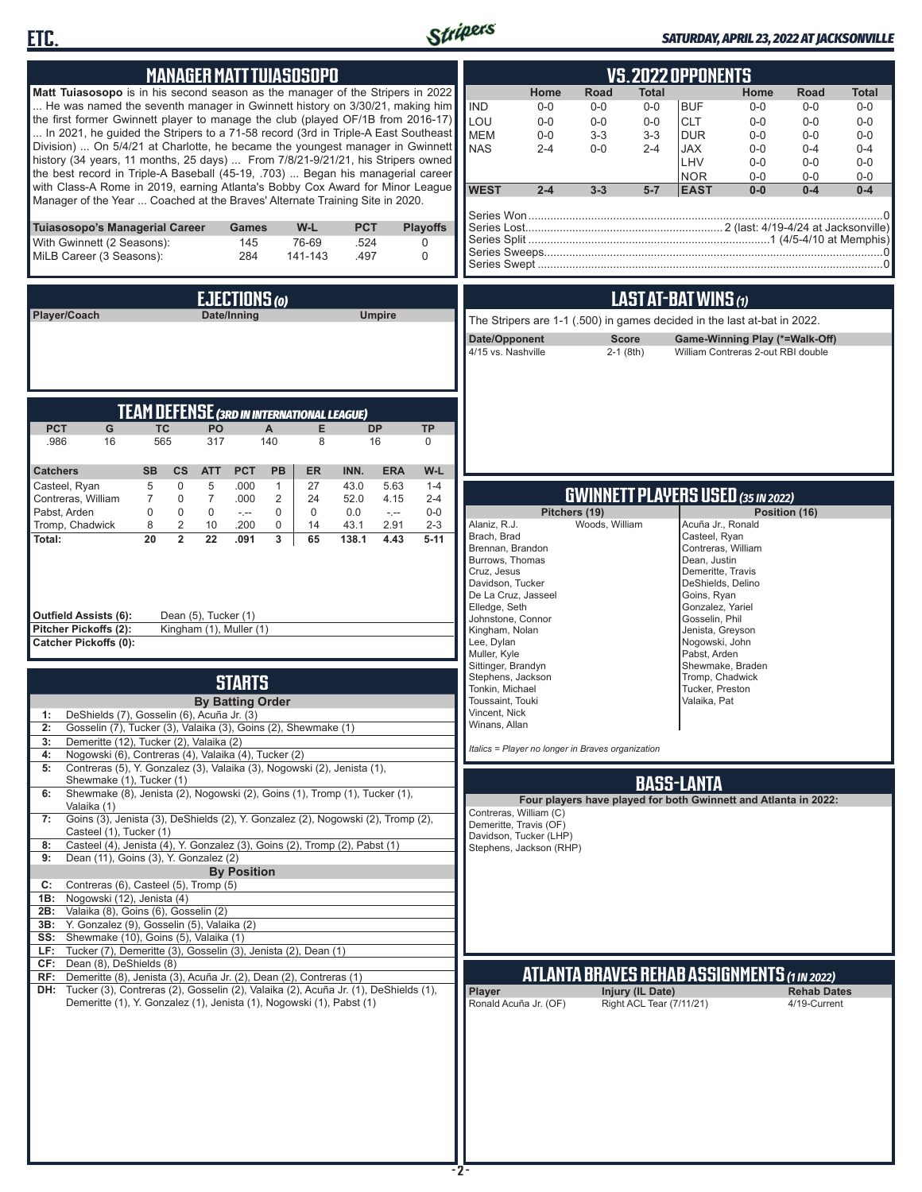



### *SATURDAY, APRIL 23, 2022 AT JACKSONVILLE*

| <b>MANAGER MATT TUIASOSOPO</b>                                                                                                                                                                                              | <b>VS.2022 OPPONENTS</b>                                                                                                                                    |
|-----------------------------------------------------------------------------------------------------------------------------------------------------------------------------------------------------------------------------|-------------------------------------------------------------------------------------------------------------------------------------------------------------|
| Matt Tuiasosopo is in his second season as the manager of the Stripers in 2022                                                                                                                                              | <b>Road</b><br>Home<br>Home<br><b>Total</b><br>Road<br><b>Total</b>                                                                                         |
| He was named the seventh manager in Gwinnett history on 3/30/21, making him<br>the first former Gwinnett player to manage the club (played OF/1B from 2016-17)                                                              | <b>IND</b><br>$0-0$<br><b>BUF</b><br>$0-0$<br>$0-0$<br>$0-0$<br>$0-0$<br>$0-0$<br>LOU<br>$0-0$<br>$0-0$<br>$0-0$<br><b>CLT</b><br>$0-0$<br>$0-0$<br>$0 - 0$ |
| In 2021, he guided the Stripers to a 71-58 record (3rd in Triple-A East Southeast                                                                                                                                           | <b>MEM</b><br><b>DUR</b><br>$3-3$<br>$3 - 3$<br>$0 - 0$<br>$0 - 0$<br>$0-0$<br>$0 - 0$                                                                      |
| Division)  On 5/4/21 at Charlotte, he became the youngest manager in Gwinnett<br>history (34 years, 11 months, 25 days)  From 7/8/21-9/21/21, his Stripers owned                                                            | <b>NAS</b><br>$0 - 0$<br>$2 - 4$<br><b>JAX</b><br>$2 - 4$<br>$0 - 0$<br>$0 - 4$<br>$0 - 4$<br>LHV<br>$0 - 0$<br>$0-0$<br>$0 - 0$                            |
| the best record in Triple-A Baseball (45-19, .703)  Began his managerial career                                                                                                                                             | <b>NOR</b><br>$0 - 0$<br>$0-0$<br>$0-0$                                                                                                                     |
| with Class-A Rome in 2019, earning Atlanta's Bobby Cox Award for Minor League<br>Manager of the Year  Coached at the Braves' Alternate Training Site in 2020.                                                               | <b>WEST</b><br>$2 - 4$<br>$3 - 3$<br>$5 - 7$<br><b>EAST</b><br>$0-0$<br>$0 - 4$<br>$0 - 4$                                                                  |
|                                                                                                                                                                                                                             |                                                                                                                                                             |
| <b>PCT</b><br>Tuiasosopo's Managerial Career<br>W-L<br><b>Playoffs</b><br><b>Games</b><br>145<br>76-69<br>.524<br>With Gwinnett (2 Seasons):<br>0                                                                           |                                                                                                                                                             |
| MiLB Career (3 Seasons):<br>284<br>141-143<br>.497<br>$\mathbf 0$                                                                                                                                                           |                                                                                                                                                             |
|                                                                                                                                                                                                                             |                                                                                                                                                             |
| EJECTIONS (0)                                                                                                                                                                                                               | LAST AT-BAT WINS (1)                                                                                                                                        |
| Date/Inning<br>Player/Coach<br><b>Umpire</b>                                                                                                                                                                                | The Stripers are 1-1 (.500) in games decided in the last at-bat in 2022.                                                                                    |
|                                                                                                                                                                                                                             | Date/Opponent<br><b>Score</b><br>Game-Winning Play (*=Walk-Off)                                                                                             |
|                                                                                                                                                                                                                             | 4/15 vs. Nashville<br>$2-1$ (8th)<br>William Contreras 2-out RBI double                                                                                     |
|                                                                                                                                                                                                                             |                                                                                                                                                             |
| <b>TEAM DEFENSE (3RD IN INTERNATIONAL LEAGUE)</b>                                                                                                                                                                           |                                                                                                                                                             |
| <b>PCT</b><br><b>TC</b><br>PO<br><b>DP</b><br><b>TP</b><br>G<br>$\mathsf{A}$<br>Е                                                                                                                                           |                                                                                                                                                             |
| 16<br>565<br>317<br>140<br>8<br>16<br>.986<br>$\mathbf 0$                                                                                                                                                                   |                                                                                                                                                             |
| <b>ERA</b><br>W-L<br><b>Catchers</b><br><b>SB</b><br>$\mathsf{cs}$<br><b>ATT</b><br><b>PCT</b><br>PB<br><b>ER</b><br>INN.                                                                                                   |                                                                                                                                                             |
| 5<br>$\mathbf 0$<br>5<br>.000<br>27<br>5.63<br>Casteel, Ryan<br>$\mathbf{1}$<br>43.0<br>$1 - 4$                                                                                                                             |                                                                                                                                                             |
| Contreras, William<br>0<br>$\overline{7}$<br>.000<br>2<br>24<br>52.0<br>4.15<br>$2 - 4$<br>7<br>Pabst, Arden<br>$\mathbf 0$<br>$\mathbf 0$<br>$\mathbf 0$<br>$\mathbf 0$<br>$\mathbf 0$<br>$0-0$<br>0.0<br>$\sim$<br>$\sim$ | <b>GWINNETT PLAYERS USED (35 IN 2022)</b><br>Pitchers (19)<br>Position (16)                                                                                 |
| Tromp, Chadwick<br>2<br>10<br>$\mathbf 0$<br>14<br>43.1<br>2.91<br>$2 - 3$<br>8<br>.200                                                                                                                                     | Alaniz, R.J.<br>Woods, William<br>Acuña Jr., Ronald                                                                                                         |
| $\overline{2}$<br>22<br>3<br>$5 - 11$<br>Total:<br>20<br>.091<br>65<br>138.1<br>4.43                                                                                                                                        | Brach, Brad<br>Casteel, Ryan<br>Contreras, William<br>Brennan, Brandon                                                                                      |
|                                                                                                                                                                                                                             | Burrows, Thomas<br>Dean, Justin<br>Demeritte, Travis<br>Cruz, Jesus                                                                                         |
|                                                                                                                                                                                                                             | Davidson, Tucker<br>DeShields, Delino                                                                                                                       |
|                                                                                                                                                                                                                             | De La Cruz, Jasseel<br>Goins, Ryan<br>Elledge, Seth<br>Gonzalez, Yariel                                                                                     |
| Outfield Assists (6):<br>Dean (5), Tucker (1)<br>Pitcher Pickoffs (2):<br>Kingham (1), Muller (1)                                                                                                                           | Johnstone, Connor<br>Gosselin, Phil<br>Kingham, Nolan<br>Jenista, Greyson                                                                                   |
| <b>Catcher Pickoffs (0):</b>                                                                                                                                                                                                | Lee, Dylan<br>Nogowski, John                                                                                                                                |
|                                                                                                                                                                                                                             | Muller, Kyle<br>Pabst, Arden<br>Sittinger, Brandyn<br>Shewmake, Braden                                                                                      |
| <b>STARTS</b>                                                                                                                                                                                                               | Stephens, Jackson<br>Tromp, Chadwick<br>Tonkin, Michael<br>Tucker, Preston                                                                                  |
| <b>By Batting Order</b>                                                                                                                                                                                                     | Toussaint, Touki<br>Valaika, Pat<br>Vincent, Nick                                                                                                           |
| DeShields (7), Gosselin (6), Acuña Jr. (3)<br>1:<br>Gosselin (7), Tucker (3), Valaika (3), Goins (2), Shewmake (1)<br>2:                                                                                                    | Winans, Allan                                                                                                                                               |
| Demeritte (12), Tucker (2), Valaika (2)<br>3:                                                                                                                                                                               | Italics = Player no longer in Braves organization                                                                                                           |
| Nogowski (6), Contreras (4), Valaika (4), Tucker (2)<br>4:<br>Contreras (5), Y. Gonzalez (3), Valaika (3), Nogowski (2), Jenista (1),<br>5:                                                                                 |                                                                                                                                                             |
| Shewmake (1), Tucker (1)<br>Shewmake (8), Jenista (2), Nogowski (2), Goins (1), Tromp (1), Tucker (1),<br>6:                                                                                                                | <b>BASS-LANTA</b>                                                                                                                                           |
| Valaika (1)                                                                                                                                                                                                                 | Four players have played for both Gwinnett and Atlanta in 2022:<br>Contreras, William (C)                                                                   |
| Goins (3), Jenista (3), DeShields (2), Y. Gonzalez (2), Nogowski (2), Tromp (2),<br>7:<br>Casteel (1), Tucker (1)                                                                                                           | Demeritte, Travis (OF)                                                                                                                                      |
| Casteel (4), Jenista (4), Y. Gonzalez (3), Goins (2), Tromp (2), Pabst (1)<br>8:                                                                                                                                            | Davidson, Tucker (LHP)<br>Stephens, Jackson (RHP)                                                                                                           |
| Dean (11), Goins (3), Y. Gonzalez (2)<br>9:<br><b>By Position</b>                                                                                                                                                           |                                                                                                                                                             |
| Contreras (6), Casteel (5), Tromp (5)<br>C:                                                                                                                                                                                 |                                                                                                                                                             |
| Nogowski (12), Jenista (4)<br>1B:<br>2B: Valaika (8), Goins (6), Gosselin (2)                                                                                                                                               |                                                                                                                                                             |
| 3B: Y. Gonzalez (9), Gosselin (5), Valaika (2)                                                                                                                                                                              |                                                                                                                                                             |
| SS: Shewmake (10), Goins (5), Valaika (1)<br>LF: Tucker (7), Demeritte (3), Gosselin (3), Jenista (2), Dean (1)                                                                                                             |                                                                                                                                                             |
| CF: Dean (8), DeShields (8)<br>RF: Demeritte (8), Jenista (3), Acuña Jr. (2), Dean (2), Contreras (1)                                                                                                                       | <u>ATLANTA BRAVES REHAB ASSIGNMENTS (1 IN 2022)</u>                                                                                                         |
| DH: Tucker (3), Contreras (2), Gosselin (2), Valaika (2), Acuña Jr. (1), DeShields (1),                                                                                                                                     | Injury (IL Date)<br>Player<br><b>Rehab Dates</b>                                                                                                            |
| Demeritte (1), Y. Gonzalez (1), Jenista (1), Nogowski (1), Pabst (1)                                                                                                                                                        | Right ACL Tear (7/11/21)<br>Ronald Acuña Jr. (OF)<br>4/19-Current                                                                                           |
|                                                                                                                                                                                                                             |                                                                                                                                                             |
|                                                                                                                                                                                                                             |                                                                                                                                                             |
|                                                                                                                                                                                                                             |                                                                                                                                                             |
|                                                                                                                                                                                                                             |                                                                                                                                                             |
|                                                                                                                                                                                                                             |                                                                                                                                                             |
|                                                                                                                                                                                                                             |                                                                                                                                                             |
|                                                                                                                                                                                                                             |                                                                                                                                                             |
| -2-                                                                                                                                                                                                                         |                                                                                                                                                             |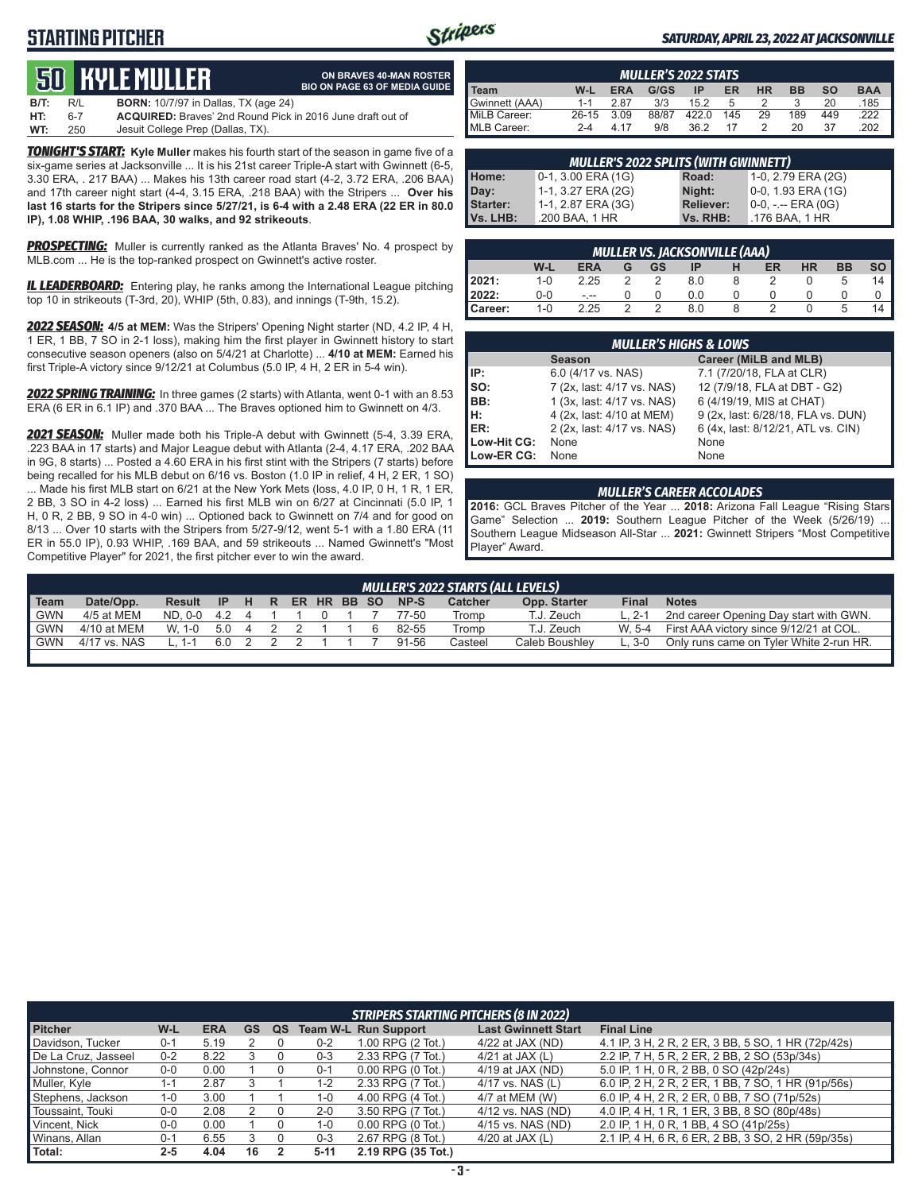# **STARTING PITCHER**



**ON BRAVES 40-MAN ROSTER**

#### *SATURDAY, APRIL 23, 2022 AT JACKSONVILLE*

# **50****KYLE Muller**

|      |         | <b>JU NYLL MULLLEN</b>                      | <b>BIO ON PAGE 63 OF MEDIA GUIDE</b>                              |
|------|---------|---------------------------------------------|-------------------------------------------------------------------|
| B/T: | R/I     | <b>BORN:</b> 10/7/97 in Dallas, TX (age 24) |                                                                   |
| HT:  | $6 - 7$ |                                             | <b>ACQUIRED:</b> Braves' 2nd Round Pick in 2016 June draft out of |
| WT:  | 250     | Jesuit College Prep (Dallas, TX).           |                                                                   |

*TONIGHT'S START:* **Kyle Muller** makes his fourth start of the season in game five of a six-game series at Jacksonville ... It is his 21st career Triple-A start with Gwinnett (6-5, 3.30 ERA, . 217 BAA) ... Makes his 13th career road start (4-2, 3.72 ERA, .206 BAA) and 17th career night start (4-4, 3.15 ERA, .218 BAA) with the Stripers ... **Over his last 16 starts for the Stripers since 5/27/21, is 6-4 with a 2.48 ERA (22 ER in 80.0 IP), 1.08 WHIP, .196 BAA, 30 walks, and 92 strikeouts**.

**PROSPECTING:** Muller is currently ranked as the Atlanta Braves' No. 4 prospect by MLB.com ... He is the top-ranked prospect on Gwinnett's active roster.

**IL LEADERBOARD:** Entering play, he ranks among the International League pitching top 10 in strikeouts (T-3rd, 20), WHIP (5th, 0.83), and innings (T-9th, 15.2).

*2022 SEASON:* **4/5 at MEM:** Was the Stripers' Opening Night starter (ND, 4.2 IP, 4 H, 1 ER, 1 BB, 7 SO in 2-1 loss), making him the first player in Gwinnett history to start consecutive season openers (also on 5/4/21 at Charlotte) ... **4/10 at MEM:** Earned his first Triple-A victory since 9/12/21 at Columbus (5.0 IP, 4 H, 2 ER in 5-4 win).

*2022 SPRING TRAINING:* In three games (2 starts) with Atlanta, went 0-1 with an 8.53 ERA (6 ER in 6.1 IP) and .370 BAA ... The Braves optioned him to Gwinnett on 4/3.

*2021 SEASON:* Muller made both his Triple-A debut with Gwinnett (5-4, 3.39 ERA, .223 BAA in 17 starts) and Major League debut with Atlanta (2-4, 4.17 ERA, .202 BAA in 9G, 8 starts) ... Posted a 4.60 ERA in his first stint with the Stripers (7 starts) before being recalled for his MLB debut on 6/16 vs. Boston (1.0 IP in relief, 4 H, 2 ER, 1 SO) ... Made his first MLB start on 6/21 at the New York Mets (loss, 4.0 IP, 0 H, 1 R, 1 ER, 2 BB, 3 SO in 4-2 loss) ... Earned his first MLB win on 6/27 at Cincinnati (5.0 IP, 1 H, 0 R, 2 BB, 9 SO in 4-0 win) ... Optioned back to Gwinnett on 7/4 and for good on 8/13 ... Over 10 starts with the Stripers from 5/27-9/12, went 5-1 with a 1.80 ERA (11 ER in 55.0 IP), 0.93 WHIP, .169 BAA, and 59 strikeouts ... Named Gwinnett's "Most Competitive Player" for 2021, the first pitcher ever to win the award.

|                |           |            | <b>MULLER'S 2022 STATS</b> |      |     |           |           |           |            |
|----------------|-----------|------------|----------------------------|------|-----|-----------|-----------|-----------|------------|
| Team           | W-L       | <b>ERA</b> | G/GS                       | ΙP   | ER  | <b>HR</b> | <b>BB</b> | <b>SO</b> | <b>BAA</b> |
| Gwinnett (AAA) | $1 - 1$   | 2.87       | 3/3                        | 15.2 |     |           |           | 20        | .185       |
| MiLB Career:   | $26 - 15$ | 3.09       | 88/87                      | 4220 | 145 | 29        | 189       | 449       | .222       |
| MLB Career:    | $2 - 4$   | 4 17       | 9/8                        | 36.2 | 17  |           | 20        | 37        | .202       |

| $0-1$ , 3.00 ERA (1G)<br>1-0, 2.79 ERA (2G)<br>Road:<br>0-0, 1.93 ERA (1G)<br>1-1, 3.27 ERA (2G)<br>Night:<br>Day:<br>1-1, 2.87 ERA (3G)<br>$0-0, - -$ ERA $(0G)$<br><b>Reliever:</b> |          | <b>MULLER'S 2022 SPLITS (WITH GWINNETT)</b> |          |                |  |  |  |  |  |  |
|---------------------------------------------------------------------------------------------------------------------------------------------------------------------------------------|----------|---------------------------------------------|----------|----------------|--|--|--|--|--|--|
|                                                                                                                                                                                       | Home:    |                                             |          |                |  |  |  |  |  |  |
|                                                                                                                                                                                       |          |                                             |          |                |  |  |  |  |  |  |
|                                                                                                                                                                                       | Starter: |                                             |          |                |  |  |  |  |  |  |
|                                                                                                                                                                                       | Vs. LHB: | .200 BAA, 1 HR                              | Vs. RHB: | .176 BAA, 1 HR |  |  |  |  |  |  |

|         |         |      |   |    | <b>MULLER VS. JACKSONVILLE (AAA)</b> |    |           |           |      |
|---------|---------|------|---|----|--------------------------------------|----|-----------|-----------|------|
|         | W-L     | ERA  |   | GS | ΙP                                   | ER | <b>HR</b> | <b>BB</b> | so l |
| 12021:  | $1 - 0$ | 2.25 |   |    | 8.0                                  |    |           |           | 14   |
| 2022:   | 0-0     |      |   |    | 0.0                                  |    |           |           |      |
| Career: | $1 - 0$ | 2.25 | っ |    | 8.0                                  |    |           | b         | 14   |

|             | <b>MULLER'S HIGHS &amp; LOWS</b> |                                    |  |  |  |  |  |  |  |  |
|-------------|----------------------------------|------------------------------------|--|--|--|--|--|--|--|--|
|             | <b>Season</b>                    | Career (MiLB and MLB)              |  |  |  |  |  |  |  |  |
| IIP:        | 6.0 (4/17 vs. NAS)               | 7.1 (7/20/18, FLA at CLR)          |  |  |  |  |  |  |  |  |
| Iso:        | 7 (2x, last: 4/17 vs. NAS)       | 12 (7/9/18, FLA at DBT - G2)       |  |  |  |  |  |  |  |  |
| BB:         | 1 (3x, last: 4/17 vs. NAS)       | 6 (4/19/19, MIS at CHAT)           |  |  |  |  |  |  |  |  |
| IH:         | 4 (2x, last: 4/10 at MEM)        | 9 (2x, last: 6/28/18, FLA vs. DUN) |  |  |  |  |  |  |  |  |
| ER:         | 2 (2x, last: 4/17 vs. NAS)       | 6 (4x, last: 8/12/21, ATL vs. CIN) |  |  |  |  |  |  |  |  |
| Low-Hit CG: | None                             | None                               |  |  |  |  |  |  |  |  |
| Low-ER CG:  | None                             | None                               |  |  |  |  |  |  |  |  |

#### *MULLER'S CAREER ACCOLADES*

**2016:** GCL Braves Pitcher of the Year ... **2018:** Arizona Fall League "Rising Stars Game" Selection ... **2019:** Southern League Pitcher of the Week (5/26/19) ... Southern League Midseason All-Star ... **2021:** Gwinnett Stripers "Most Competitive Player" Award.

|             |              |         |           |                |  |             |       | <b>MULLER'S 2022 STARTS (ALL LEVELS)</b> |                |         |                                         |
|-------------|--------------|---------|-----------|----------------|--|-------------|-------|------------------------------------------|----------------|---------|-----------------------------------------|
| <b>Team</b> | Date/Opp.    | Result  | <b>IP</b> | $H$ R          |  | ER HR BB SO | NP-S  | <b>Catcher</b>                           | Opp. Starter   | Final   | <b>Notes</b>                            |
| <b>GWN</b>  | 4/5 at MEM   | ND. 0-0 | 42        |                |  |             | 77-50 | Tromp                                    | T.J. Zeuch     | L. 2-1  | 2nd career Opening Day start with GWN.  |
| <b>GWN</b>  | 4/10 at MEM  | W. 1-0  | 5.0       | $\overline{4}$ |  |             | 82-55 | Tromp                                    | T.J. Zeuch     | W. 5-4  | First AAA victory since 9/12/21 at COL. |
| <b>GWN</b>  | 4/17 vs. NAS | $1 - 1$ | 6 O       |                |  |             | 91-56 | Casteel                                  | Caleb Boushlev | $L.3-0$ | Only runs came on Tyler White 2-run HR. |
|             |              |         |           |                |  |             |       |                                          |                |         |                                         |

|                     |         |            |           |    |         | <b>STRIPERS STARTING PITCHERS (8 IN 2022)</b> |                            |                                                    |
|---------------------|---------|------------|-----------|----|---------|-----------------------------------------------|----------------------------|----------------------------------------------------|
| <b>Pitcher</b>      | W-L     | <b>ERA</b> | <b>GS</b> | QS |         | <b>Team W-L Run Support</b>                   | <b>Last Gwinnett Start</b> | <b>Final Line</b>                                  |
| Davidson, Tucker    | $0 - 1$ | 5.19       |           |    | $0 - 2$ | 1.00 RPG (2 Tot.)                             | $4/22$ at JAX (ND)         | 4.1 IP, 3 H, 2 R, 2 ER, 3 BB, 5 SO, 1 HR (72p/42s) |
| De La Cruz, Jasseel | $0 - 2$ | 8.22       |           |    | $0 - 3$ | 2.33 RPG (7 Tot.)                             | 4/21 at JAX $(L)$          | 2.2 IP, 7 H, 5 R, 2 ER, 2 BB, 2 SO (53p/34s)       |
| Johnstone, Connor   | $0-0$   | 0.00       |           |    | $0 - 1$ | $0.00$ RPG $(0$ Tot.)                         | 4/19 at JAX (ND)           | 5.0 IP, 1 H, 0 R, 2 BB, 0 SO (42p/24s)             |
| Muller, Kyle        | 1-1     | 2.87       |           |    | 1-2     | 2.33 RPG (7 Tot.)                             | $4/17$ vs. NAS (L)         | 6.0 IP, 2 H, 2 R, 2 ER, 1 BB, 7 SO, 1 HR (91p/56s) |
| Stephens, Jackson   | $1 - 0$ | 3.00       |           |    | $1 - 0$ | 4.00 RPG (4 Tot.)                             | 4/7 at MEM (W)             | 6.0 IP, 4 H, 2 R, 2 ER, 0 BB, 7 SO (71p/52s)       |
| Toussaint, Touki    | $0 - 0$ | 2.08       |           |    | $2 - 0$ | 3.50 RPG (7 Tot.)                             | 4/12 vs. NAS (ND)          | 4.0 IP, 4 H, 1 R, 1 ER, 3 BB, 8 SO (80p/48s)       |
| Vincent, Nick       | $0 - 0$ | 0.00       |           |    | $1 - 0$ | $0.00$ RPG $(0$ Tot.)                         | 4/15 vs. NAS (ND)          | 2.0 IP, 1 H, 0 R, 1 BB, 4 SO (41p/25s)             |
| Winans, Allan       | $0 - 1$ | 6.55       |           |    | $0 - 3$ | 2.67 RPG (8 Tot.)                             | 4/20 at JAX $(L)$          | 2.1 IP, 4 H, 6 R, 6 ER, 2 BB, 3 SO, 2 HR (59p/35s) |
| Total:              | $2 - 5$ | 4.04       | 16        |    | 5-11    | 2.19 RPG (35 Tot.)                            |                            |                                                    |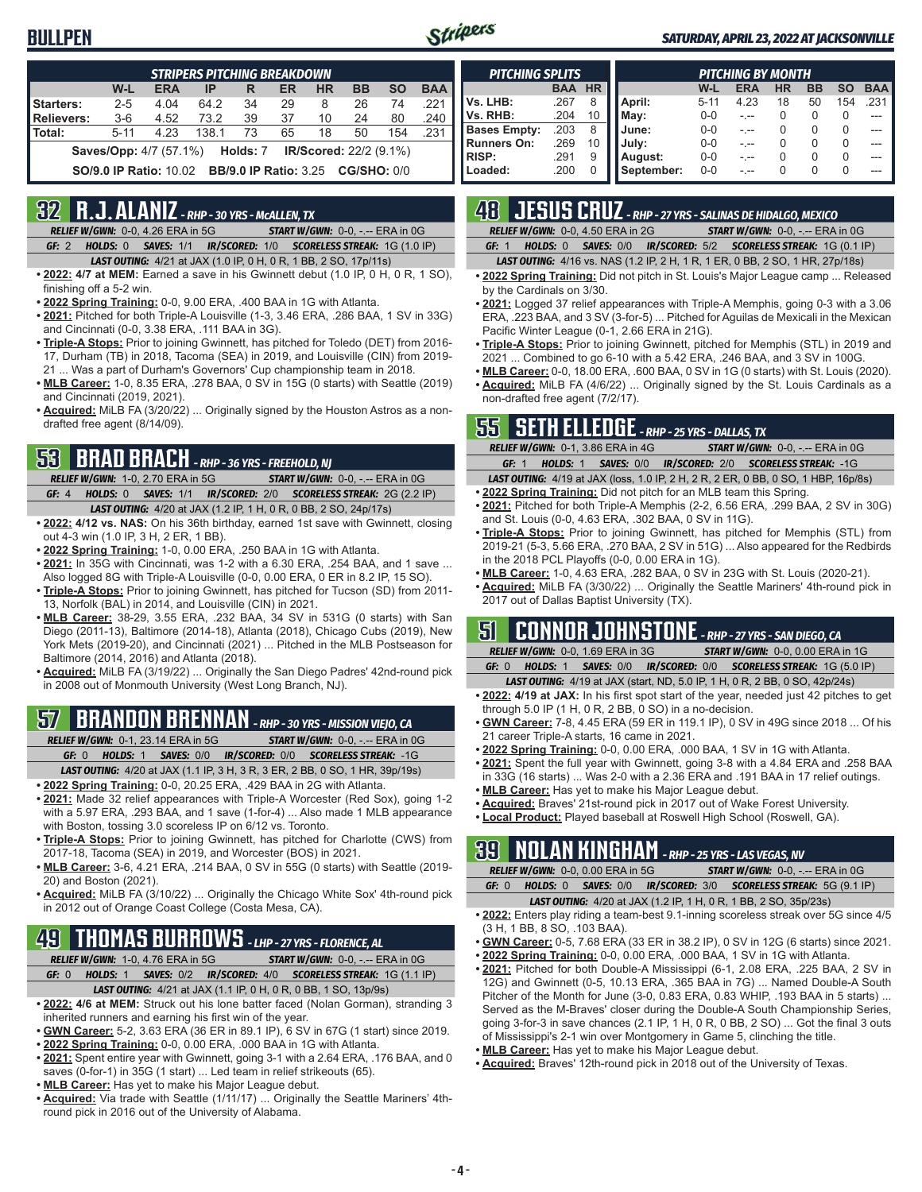### **BULLPEN**



#### *SATURDAY, APRIL 23, 2022 AT JACKSONVILLE*

| <b>STRIPERS PITCHING BREAKDOWN</b> |                                                                      |            |       |    |    |           |           |           |            |
|------------------------------------|----------------------------------------------------------------------|------------|-------|----|----|-----------|-----------|-----------|------------|
|                                    | W-L                                                                  | <b>ERA</b> | IP    | R  | ER | <b>HR</b> | <b>BB</b> | <b>SO</b> | <b>BAA</b> |
| Starters:                          | $2 - 5$                                                              | 4.04       | 64.2  | 34 | 29 | 8         | 26        | 74        | 221        |
| Relievers:                         | $3-6$                                                                | 4.52       | 73.2  | 39 | 37 | 10        | 24        | 80        | .240       |
| Total:                             | $5 - 11$                                                             | 4.23       | 138.1 | 73 | 65 | 18        | 50        | 154       | .231       |
|                                    | <b>Saves/Opp:</b> 4/7 (57.1%) <b>Holds: 7 IR/Scored:</b> 22/2 (9.1%) |            |       |    |    |           |           |           |            |
|                                    | <b>SO/9.0 IP Ratio: 10.02 BB/9.0 IP Ratio: 3.25 CG/SHO: 0/0</b>      |            |       |    |    |           |           |           |            |

### **32 R.J. ALANIZ** *- RHP - 30 YRS - McALLEN, TX*

*RELIEF W/GWN:*0-0, 4.26 ERA in 5G *START W/GWN:*0-0, -.-- ERA in 0G *GF:*2 *HOLDS:*0 *SAVES:*1/1 *IR/SCORED:*1/0 *SCORELESS STREAK:*1G (1.0 IP)

- *LAST OUTING:*4/21 at JAX (1.0 IP, 0 H, 0 R, 1 BB, 2 SO, 17p/11s)
- **• 2022: 4/7 at MEM:** Earned a save in his Gwinnett debut (1.0 IP, 0 H, 0 R, 1 SO), finishing off a 5-2 win.
- **• 2022 Spring Training:** 0-0, 9.00 ERA, .400 BAA in 1G with Atlanta.
- **• 2021:** Pitched for both Triple-A Louisville (1-3, 3.46 ERA, .286 BAA, 1 SV in 33G) and Cincinnati (0-0, 3.38 ERA, .111 BAA in 3G).
- **• Triple-A Stops:** Prior to joining Gwinnett, has pitched for Toledo (DET) from 2016- 17, Durham (TB) in 2018, Tacoma (SEA) in 2019, and Louisville (CIN) from 2019- 21 ... Was a part of Durham's Governors' Cup championship team in 2018.
- **• MLB Career:** 1-0, 8.35 ERA, .278 BAA, 0 SV in 15G (0 starts) with Seattle (2019) and Cincinnati (2019, 2021).
- **• Acquired:** MiLB FA (3/20/22) ... Originally signed by the Houston Astros as a nondrafted free agent (8/14/09).

## **53 BRAD BRACH** *- RHP - 36 YRS - FREEHOLD, NJ*

*RELIEF W/GWN:*1-0, 2.70 ERA in 5G *START W/GWN:*0-0, -.-- ERA in 0G *GF:*4 *HOLDS:*0 *SAVES:*1/1 *IR/SCORED:*2/0 *SCORELESS STREAK:*2G (2.2 IP)

- *LAST OUTING:*4/20 at JAX (1.2 IP, 1 H, 0 R, 0 BB, 2 SO, 24p/17s)
- **• 2022: 4/12 vs. NAS:** On his 36th birthday, earned 1st save with Gwinnett, closing out 4-3 win (1.0 IP, 3 H, 2 ER, 1 BB).
- **• 2022 Spring Training:** 1-0, 0.00 ERA, .250 BAA in 1G with Atlanta.
- **• 2021:** In 35G with Cincinnati, was 1-2 with a 6.30 ERA, .254 BAA, and 1 save ... Also logged 8G with Triple-A Louisville (0-0, 0.00 ERA, 0 ER in 8.2 IP, 15 SO).
- **• Triple-A Stops:** Prior to joining Gwinnett, has pitched for Tucson (SD) from 2011- 13, Norfolk (BAL) in 2014, and Louisville (CIN) in 2021.
- **• MLB Career:** 38-29, 3.55 ERA, .232 BAA, 34 SV in 531G (0 starts) with San Diego (2011-13), Baltimore (2014-18), Atlanta (2018), Chicago Cubs (2019), New York Mets (2019-20), and Cincinnati (2021) ... Pitched in the MLB Postseason for Baltimore (2014, 2016) and Atlanta (2018).
- **• Acquired:** MiLB FA (3/19/22) ... Originally the San Diego Padres' 42nd-round pick in 2008 out of Monmouth University (West Long Branch, NJ).

# **57 BRANDON BRENNAN** *- RHP - 30 YRS - MISSION VIEJO, CA*

*RELIEF W/GWN:*0-1, 23.14 ERA in 5G *START W/GWN:*0-0, -.-- ERA in 0G

*GF:*0 *HOLDS:*1 *SAVES:*0/0 *IR/SCORED:*0/0 *SCORELESS STREAK:*-1G *LAST OUTING:*4/20 at JAX (1.1 IP, 3 H, 3 R, 3 ER, 2 BB, 0 SO, 1 HR, 39p/19s)

- **• 2022 Spring Training:** 0-0, 20.25 ERA, .429 BAA in 2G with Atlanta.
- **• 2021:** Made 32 relief appearances with Triple-A Worcester (Red Sox), going 1-2 with a 5.97 ERA, .293 BAA, and 1 save (1-for-4) ... Also made 1 MLB appearance with Boston, tossing 3.0 scoreless IP on 6/12 vs. Toronto.
- **• Triple-A Stops:** Prior to joining Gwinnett, has pitched for Charlotte (CWS) from 2017-18, Tacoma (SEA) in 2019, and Worcester (BOS) in 2021.
- **• MLB Career:** 3-6, 4.21 ERA, .214 BAA, 0 SV in 55G (0 starts) with Seattle (2019- 20) and Boston (2021).
- **• Acquired:** MiLB FA (3/10/22) ... Originally the Chicago White Sox' 4th-round pick in 2012 out of Orange Coast College (Costa Mesa, CA).

### **49 THOMAS BURROWS** *- LHP - 27 YRS - FLORENCE, AL*

*RELIEF W/GWN:*1-0, 4.76 ERA in 5G *START W/GWN:*0-0, -.-- ERA in 0G

*GF:*0 *HOLDS:*1 *SAVES:*0/2 *IR/SCORED:*4/0 *SCORELESS STREAK:*1G (1.1 IP)

- *LAST OUTING:*4/21 at JAX (1.1 IP, 0 H, 0 R, 0 BB, 1 SO, 13p/9s) **• 2022: 4/6 at MEM:** Struck out his lone batter faced (Nolan Gorman), stranding 3
- inherited runners and earning his first win of the year. **• GWN Career:** 5-2, 3.63 ERA (36 ER in 89.1 IP), 6 SV in 67G (1 start) since 2019.
- **• 2022 Spring Training:** 0-0, 0.00 ERA, .000 BAA in 1G with Atlanta.
- **• 2021:** Spent entire year with Gwinnett, going 3-1 with a 2.64 ERA, .176 BAA, and 0 saves (0-for-1) in 35G (1 start) ... Led team in relief strikeouts (65).
- **• MLB Career:** Has yet to make his Major League debut.
- **• Acquired:** Via trade with Seattle (1/11/17) ... Originally the Seattle Mariners' 4thround pick in 2016 out of the University of Alabama.

| <b>PITCHING SPLITS</b> |            |           |            |          | <b>PITCHING BY MONTH</b> |           |           |           |            |
|------------------------|------------|-----------|------------|----------|--------------------------|-----------|-----------|-----------|------------|
|                        | <b>BAA</b> | <b>HR</b> |            | W-L      | <b>ERA</b>               | <b>HR</b> | <b>BB</b> | <b>SO</b> | <b>BAA</b> |
| Vs. LHB:               | .267       | 8         | April:     | $5 - 11$ | 4.23                     | 18        | 50        | 154       | .231       |
| Vs. RHB:               | .204       | 10        | May:       | $0 - 0$  |                          |           | $\Omega$  | 0         |            |
| <b>Bases Empty:</b>    | .203       | 8         | June:      | $0 - 0$  |                          |           | $\Omega$  | 0         |            |
| <b>Runners On:</b>     | .269       | 10        | July:      | $0 - 0$  |                          |           | $\Omega$  | 0         |            |
| <b>RISP:</b>           | .291       | 9         | August:    | $0 - 0$  |                          |           | 0         | 0         |            |
| Loaded:                | .200       |           | September: | $0 - 0$  |                          |           |           | 0         |            |

# **48 JESUS CRUZ** *- RHP - 27 YRS - SALINAS DE HIDALGO, MEXICO*

*RELIEF W/GWN:*0-0, 4.50 ERA in 2G *START W/GWN:*0-0, -.-- ERA in 0G *GF:*1 *HOLDS:*0 *SAVES:*0/0 *IR/SCORED:*5/2 *SCORELESS STREAK:*1G (0.1 IP)

*LAST OUTING:*4/16 vs. NAS (1.2 IP, 2 H, 1 R, 1 ER, 0 BB, 2 SO, 1 HR, 27p/18s)

- **• 2022 Spring Training:** Did not pitch in St. Louis's Major League camp ... Released by the Cardinals on 3/30.
- **• 2021:** Logged 37 relief appearances with Triple-A Memphis, going 0-3 with a 3.06 ERA, .223 BAA, and 3 SV (3-for-5) ... Pitched for Aguilas de Mexicali in the Mexican Pacific Winter League (0-1, 2.66 ERA in 21G).
- **• Triple-A Stops:** Prior to joining Gwinnett, pitched for Memphis (STL) in 2019 and 2021 ... Combined to go 6-10 with a 5.42 ERA, .246 BAA, and 3 SV in 100G.
- **• MLB Career:** 0-0, 18.00 ERA, .600 BAA, 0 SV in 1G (0 starts) with St. Louis (2020). **• Acquired:** MiLB FA (4/6/22) ... Originally signed by the St. Louis Cardinals as a non-drafted free agent (7/2/17).

### **55 SETH ELLEDGE** *- RHP - 25 YRS - DALLAS, TX*

| <b>RELIEF W/GWN: 0-1, 3.86 ERA in 4G</b> | <b>START W/GWN: 0-0, -.-- ERA in 0G</b>                                                   |
|------------------------------------------|-------------------------------------------------------------------------------------------|
| GF: 1                                    | <b>HOLDS: 1 SAVES: 0/0 IR/SCORED: 2/0 SCORELESS STREAK: -1G</b>                           |
|                                          | <b>LAST OUTING:</b> 4/19 at JAX (loss, 1.0 IP, 2 H, 2 R, 2 ER, 0 BB, 0 SO, 1 HBP, 16p/8s) |

- **• 2022 Spring Training:** Did not pitch for an MLB team this Spring. **• 2021:** Pitched for both Triple-A Memphis (2-2, 6.56 ERA, .299 BAA, 2 SV in 30G) and St. Louis (0-0, 4.63 ERA, .302 BAA, 0 SV in 11G).
- **• Triple-A Stops:** Prior to joining Gwinnett, has pitched for Memphis (STL) from 2019-21 (5-3, 5.66 ERA, .270 BAA, 2 SV in 51G) ... Also appeared for the Redbirds in the 2018 PCL Playoffs (0-0, 0.00 ERA in 1G).
- **• MLB Career:** 1-0, 4.63 ERA, .282 BAA, 0 SV in 23G with St. Louis (2020-21).
- **• Acquired:** MiLB FA (3/30/22) ... Originally the Seattle Mariners' 4th-round pick in 2017 out of Dallas Baptist University (TX).

### **51 CONNOR JOHNSTONE** *- RHP - 27 YRS - SAN DIEGO, CA*

*RELIEF W/GWN:*0-0, 1.69 ERA in 3G *START W/GWN:*0-0, 0.00 ERA in 1G

*GF:*0 *HOLDS:*1 *SAVES:*0/0 *IR/SCORED:*0/0 *SCORELESS STREAK:*1G (5.0 IP) *LAST OUTING:*4/19 at JAX (start, ND, 5.0 IP, 1 H, 0 R, 2 BB, 0 SO, 42p/24s)

- **• 2022: 4/19 at JAX:** In his first spot start of the year, needed just 42 pitches to get through 5.0 IP (1 H, 0 R, 2 BB, 0 SO) in a no-decision.
- **• GWN Career:** 7-8, 4.45 ERA (59 ER in 119.1 IP), 0 SV in 49G since 2018 ... Of his 21 career Triple-A starts, 16 came in 2021.
- **• 2022 Spring Training:** 0-0, 0.00 ERA, .000 BAA, 1 SV in 1G with Atlanta.
- **• 2021:** Spent the full year with Gwinnett, going 3-8 with a 4.84 ERA and .258 BAA in 33G (16 starts) ... Was 2-0 with a 2.36 ERA and .191 BAA in 17 relief outings.
- **• MLB Career:** Has yet to make his Major League debut.
- **• Acquired:** Braves' 21st-round pick in 2017 out of Wake Forest University.
- **• Local Product:** Played baseball at Roswell High School (Roswell, GA).

### **39 NOLAN KINGHAM** *- RHP - 25 YRS - LAS VEGAS, NV*

| <b>RELIEF W/GWN: 0-0, 0.00 ERA in 5G</b> | <b>START W/GWN: <math>0-0</math>.</b> -.-- ERA in $0G$                                                    |
|------------------------------------------|-----------------------------------------------------------------------------------------------------------|
|                                          | <b>GF:</b> 0 <b>HOLDS:</b> 0 <b>SAVES:</b> 0/0 <b>IR/SCORED:</b> 3/0 <b>SCORELESS STREAK:</b> 5G (9.1 IP) |

- *LAST OUTING:*4/20 at JAX (1.2 IP, 1 H, 0 R, 1 BB, 2 SO, 35p/23s)
- **• 2022:** Enters play riding a team-best 9.1-inning scoreless streak over 5G since 4/5 (3 H, 1 BB, 8 SO, .103 BAA).
- **• GWN Career:** 0-5, 7.68 ERA (33 ER in 38.2 IP), 0 SV in 12G (6 starts) since 2021.
- **• 2022 Spring Training:** 0-0, 0.00 ERA, .000 BAA, 1 SV in 1G with Atlanta.
- **• 2021:** Pitched for both Double-A Mississippi (6-1, 2.08 ERA, .225 BAA, 2 SV in 12G) and Gwinnett (0-5, 10.13 ERA, .365 BAA in 7G) ... Named Double-A South Pitcher of the Month for June (3-0, 0.83 ERA, 0.83 WHIP, .193 BAA in 5 starts) ... Served as the M-Braves' closer during the Double-A South Championship Series, going 3-for-3 in save chances (2.1 IP, 1 H, 0 R, 0 BB, 2 SO) ... Got the final 3 outs of Mississippi's 2-1 win over Montgomery in Game 5, clinching the title.
- **• MLB Career:** Has yet to make his Major League debut.
- **• Acquired:** Braves' 12th-round pick in 2018 out of the University of Texas.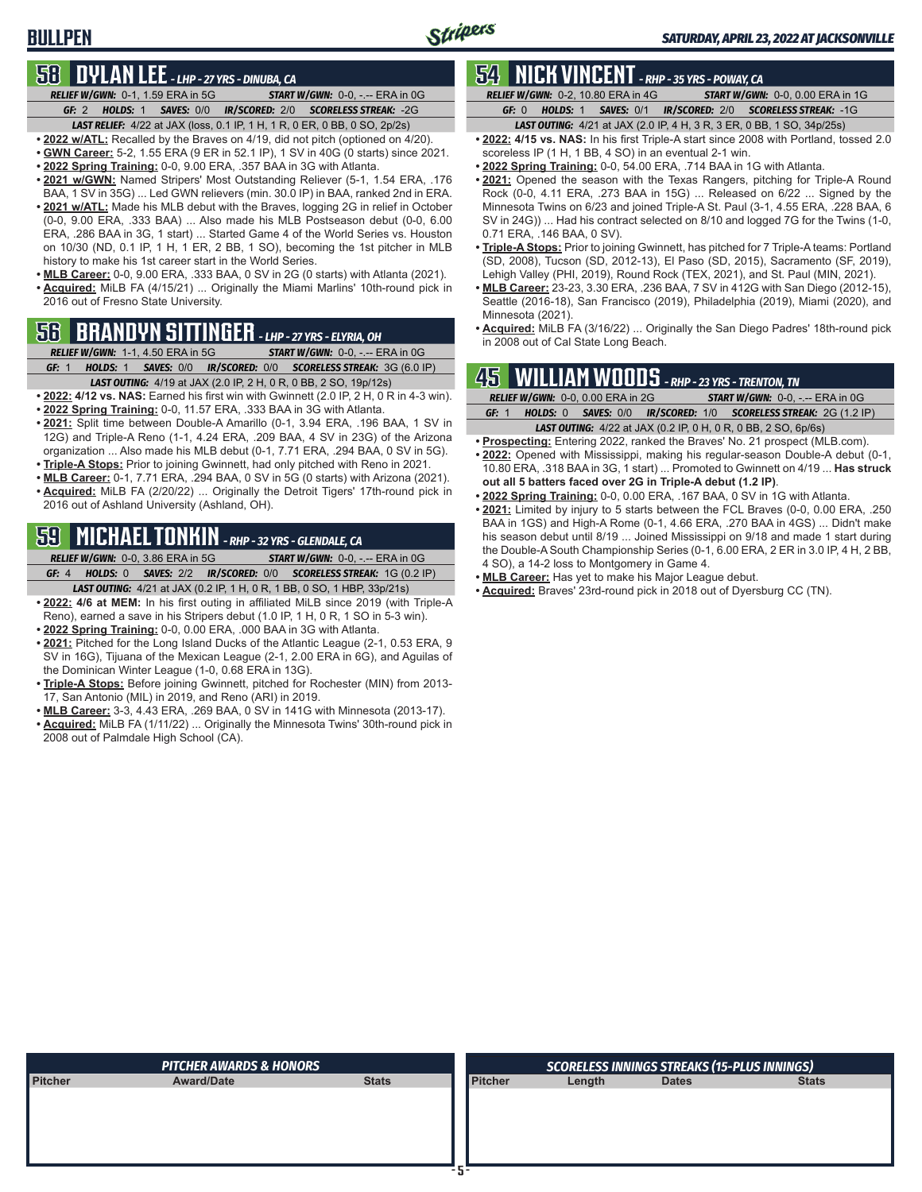# **BULLPEN**

### **58 DYLAN LEE** *- LHP - 27 YRS - DINUBA, CA*

*RELIEF W/GWN:*0-1, 1.59 ERA in 5G *START W/GWN:*0-0, -.-- ERA in 0G *GF:*2 *HOLDS:*1 *SAVES:*0/0 *IR/SCORED:*2/0 *SCORELESS STREAK:*-2G

*LAST RELIEF:*4/22 at JAX (loss, 0.1 IP, 1 H, 1 R, 0 ER, 0 BB, 0 SO, 2p/2s) **• 2022 w/ATL:** Recalled by the Braves on 4/19, did not pitch (optioned on 4/20).

- **• GWN Career:** 5-2, 1.55 ERA (9 ER in 52.1 IP), 1 SV in 40G (0 starts) since 2021.
- **• 2022 Spring Training:** 0-0, 9.00 ERA, .357 BAA in 3G with Atlanta.
- **• 2021 w/GWN:** Named Stripers' Most Outstanding Reliever (5-1, 1.54 ERA, .176 BAA, 1 SV in 35G) ... Led GWN relievers (min. 30.0 IP) in BAA, ranked 2nd in ERA.
- **• 2021 w/ATL:** Made his MLB debut with the Braves, logging 2G in relief in October (0-0, 9.00 ERA, .333 BAA) ... Also made his MLB Postseason debut (0-0, 6.00 ERA, .286 BAA in 3G, 1 start) ... Started Game 4 of the World Series vs. Houston on 10/30 (ND, 0.1 IP, 1 H, 1 ER, 2 BB, 1 SO), becoming the 1st pitcher in MLB history to make his 1st career start in the World Series.
- **• MLB Career:** 0-0, 9.00 ERA, .333 BAA, 0 SV in 2G (0 starts) with Atlanta (2021). **• Acquired:** MiLB FA (4/15/21) ... Originally the Miami Marlins' 10th-round pick in 2016 out of Fresno State University.

# **56 BRANDYN SITTINGER** *- LHP - 27 YRS - ELYRIA, OH*

*RELIEF W/GWN:*1-1, 4.50 ERA in 5G *START W/GWN:*0-0, -.-- ERA in 0G *GF:*1 *HOLDS:*1 *SAVES:*0/0 *IR/SCORED:*0/0 *SCORELESS STREAK:*3G (6.0 IP)

- *LAST OUTING:*4/19 at JAX (2.0 IP, 2 H, 0 R, 0 BB, 2 SO, 19p/12s)
- **• 2022: 4/12 vs. NAS:** Earned his first win with Gwinnett (2.0 IP, 2 H, 0 R in 4-3 win). **• 2022 Spring Training:** 0-0, 11.57 ERA, .333 BAA in 3G with Atlanta.
- **• 2021:** Split time between Double-A Amarillo (0-1, 3.94 ERA, .196 BAA, 1 SV in 12G) and Triple-A Reno (1-1, 4.24 ERA, .209 BAA, 4 SV in 23G) of the Arizona organization ... Also made his MLB debut (0-1, 7.71 ERA, .294 BAA, 0 SV in 5G).
- **• Triple-A Stops:** Prior to joining Gwinnett, had only pitched with Reno in 2021.
- **• MLB Career:** 0-1, 7.71 ERA, .294 BAA, 0 SV in 5G (0 starts) with Arizona (2021).
- **• Acquired:** MiLB FA (2/20/22) ... Originally the Detroit Tigers' 17th-round pick in 2016 out of Ashland University (Ashland, OH).

# **59 MICHAEL TONKIN** *- RHP - 32 YRS - GLENDALE, CA*

*RELIEF W/GWN:*0-0, 3.86 ERA in 5G *START W/GWN:*0-0, -.-- ERA in 0G *GF:*4 *HOLDS:*0 *SAVES:*2/2 *IR/SCORED:*0/0 *SCORELESS STREAK:*1G (0.2 IP)

- *LAST OUTING:*4/21 at JAX (0.2 IP, 1 H, 0 R, 1 BB, 0 SO, 1 HBP, 33p/21s)
- **• 2022: 4/6 at MEM:** In his first outing in affiliated MiLB since 2019 (with Triple-A Reno), earned a save in his Stripers debut (1.0 IP, 1 H, 0 R, 1 SO in 5-3 win).
- **• 2022 Spring Training:** 0-0, 0.00 ERA, .000 BAA in 3G with Atlanta.
- **• 2021:** Pitched for the Long Island Ducks of the Atlantic League (2-1, 0.53 ERA, 9 SV in 16G), Tijuana of the Mexican League (2-1, 2.00 ERA in 6G), and Aguilas of the Dominican Winter League (1-0, 0.68 ERA in 13G).
- **• Triple-A Stops:** Before joining Gwinnett, pitched for Rochester (MIN) from 2013- 17, San Antonio (MIL) in 2019, and Reno (ARI) in 2019.
- **• MLB Career:** 3-3, 4.43 ERA, .269 BAA, 0 SV in 141G with Minnesota (2013-17).
- **• Acquired:** MiLB FA (1/11/22) ... Originally the Minnesota Twins' 30th-round pick in 2008 out of Palmdale High School (CA).

# **54 NICK VINCENT** *- RHP - 35 YRS - POWAY, CA*

*RELIEF W/GWN:*0-2, 10.80 ERA in 4G *START W/GWN:*0-0, 0.00 ERA in 1G *GF:*0 *HOLDS:*1 *SAVES:*0/1 *IR/SCORED:*2/0 *SCORELESS STREAK:*-1G

- *LAST OUTING:*4/21 at JAX (2.0 IP, 4 H, 3 R, 3 ER, 0 BB, 1 SO, 34p/25s) **• 2022: 4/15 vs. NAS:** In his first Triple-A start since 2008 with Portland, tossed 2.0 scoreless IP (1 H, 1 BB, 4 SO) in an eventual 2-1 win.
- **• 2022 Spring Training:** 0-0, 54.00 ERA, .714 BAA in 1G with Atlanta.
- **• 2021:** Opened the season with the Texas Rangers, pitching for Triple-A Round Rock (0-0, 4.11 ERA, .273 BAA in 15G) ... Released on 6/22 ... Signed by the Minnesota Twins on 6/23 and joined Triple-A St. Paul (3-1, 4.55 ERA, .228 BAA, 6 SV in 24G)) ... Had his contract selected on 8/10 and logged 7G for the Twins (1-0, 0.71 ERA, .146 BAA, 0 SV).
- **• Triple-A Stops:** Prior to joining Gwinnett, has pitched for 7 Triple-A teams: Portland (SD, 2008), Tucson (SD, 2012-13), El Paso (SD, 2015), Sacramento (SF, 2019), Lehigh Valley (PHI, 2019), Round Rock (TEX, 2021), and St. Paul (MIN, 2021).
- **• MLB Career:** 23-23, 3.30 ERA, .236 BAA, 7 SV in 412G with San Diego (2012-15), Seattle (2016-18), San Francisco (2019), Philadelphia (2019), Miami (2020), and Minnesota (2021).
- **• Acquired:** MiLB FA (3/16/22) ... Originally the San Diego Padres' 18th-round pick in 2008 out of Cal State Long Beach.

# **45 WILLIAM WOODS** *- RHP - 23 YRS - TRENTON, TN*

|       | <b>RELIEF W/GWN: 0-0, 0.00 ERA in 2G</b> | <b>START W/GWN: 0-0, -.-- ERA in 0G</b>                               |
|-------|------------------------------------------|-----------------------------------------------------------------------|
| GF: 1 |                                          | HOLDS: 0 SAVES: 0/0 IR/SCORED: 1/0 SCORELESS STREAK: 2G (1.2 IP)      |
|       |                                          | <b>LAST OUTING:</b> 4/22 at JAX (0.2 IP, 0 H, 0 R, 0 BB, 2 SO, 6p/6s) |

- **• Prospecting:** Entering 2022, ranked the Braves' No. 21 prospect (MLB.com). **• 2022:** Opened with Mississippi, making his regular-season Double-A debut (0-1, 10.80 ERA, .318 BAA in 3G, 1 start) ... Promoted to Gwinnett on 4/19 ... **Has struck**
- **out all 5 batters faced over 2G in Triple-A debut (1.2 IP)**. **• 2022 Spring Training:** 0-0, 0.00 ERA, .167 BAA, 0 SV in 1G with Atlanta.
- **• 2021:** Limited by injury to 5 starts between the FCL Braves (0-0, 0.00 ERA, .250 BAA in 1GS) and High-A Rome (0-1, 4.66 ERA, .270 BAA in 4GS) ... Didn't make his season debut until 8/19 ... Joined Mississippi on 9/18 and made 1 start during the Double-A South Championship Series (0-1, 6.00 ERA, 2 ER in 3.0 IP, 4 H, 2 BB, 4 SO), a 14-2 loss to Montgomery in Game 4.
- **• MLB Career:** Has yet to make his Major League debut.
- **• Acquired:** Braves' 23rd-round pick in 2018 out of Dyersburg CC (TN).

|                | <b>PITCHER AWARDS &amp; HONORS</b> |              |                | <b>SCORELESS INNINGS STREAKS (15-PLUS INNINGS)</b> |              |              |  |  |
|----------------|------------------------------------|--------------|----------------|----------------------------------------------------|--------------|--------------|--|--|
| <b>Pitcher</b> | <b>Award/Date</b>                  | <b>Stats</b> | <b>Pitcher</b> | Length                                             | <b>Dates</b> | <b>Stats</b> |  |  |
|                |                                    |              |                |                                                    |              |              |  |  |
|                |                                    |              |                |                                                    |              |              |  |  |
|                |                                    |              |                |                                                    |              |              |  |  |
|                |                                    |              |                |                                                    |              |              |  |  |
|                |                                    |              |                |                                                    |              |              |  |  |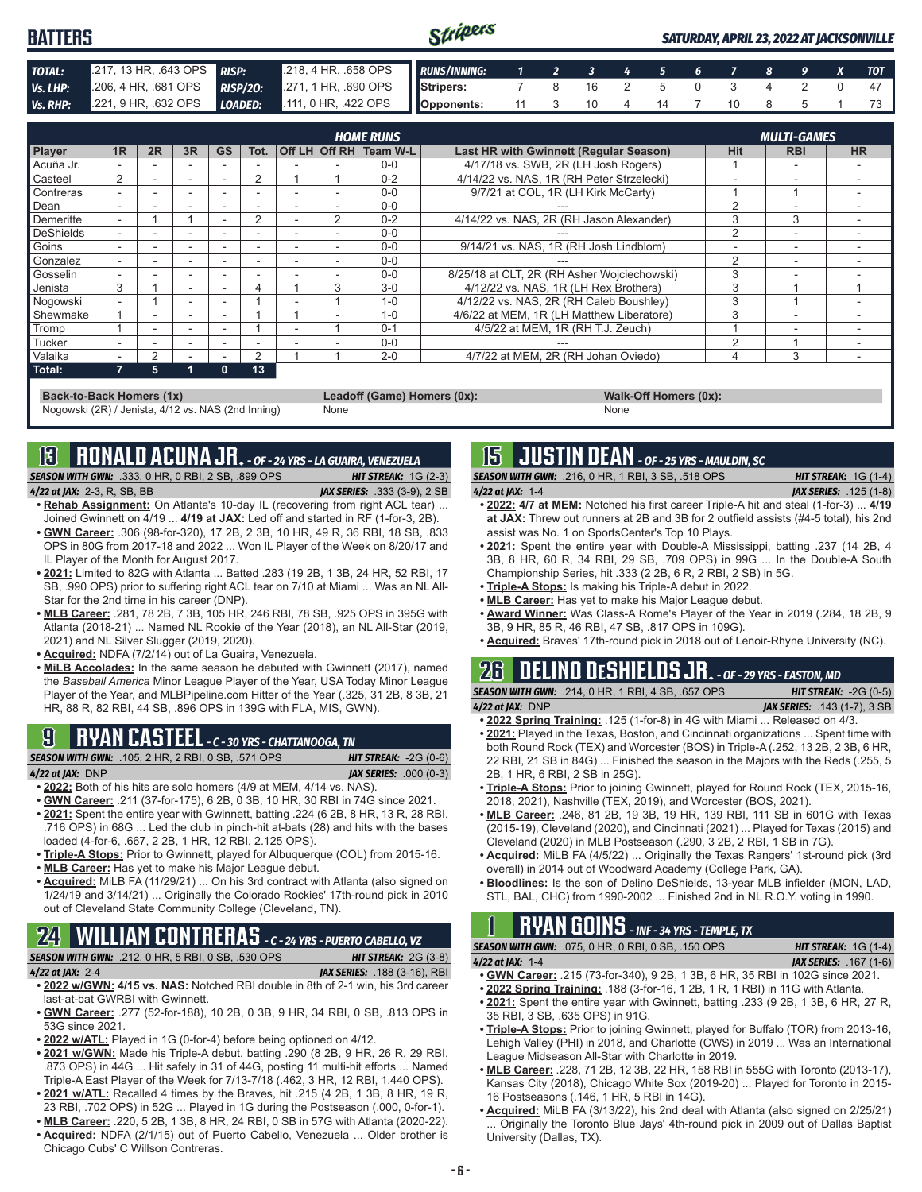| <b>BATTERS</b> |  |                                                                                     | <b>SATURDAY, APRIL 23, 2022 AT JACKSONVILLE</b> |  |  |  |  |  |  |  |  |  |  |  |
|----------------|--|-------------------------------------------------------------------------------------|-------------------------------------------------|--|--|--|--|--|--|--|--|--|--|--|
| TOTAL:         |  | 217, 13 HR, .643 OPS RISP: 218, 4 HR, .658 OPS RUNS/INNING: 1 2 3 4 5 6 7 8 9 X TOT |                                                 |  |  |  |  |  |  |  |  |  |  |  |
| Vs. LHP:       |  | 206, 4 HR, 681 OPS RISP/20: 271, 1 HR, 690 OPS Stripers: 7 8 16 2 5 0 3 4 2 0       |                                                 |  |  |  |  |  |  |  |  |  |  |  |
| Vs. RHP:       |  | 221, 9 HR, .632 OPS LOADED: .111, 0 HR, .422 OPS Opponents: 11 3 10 4 14 7 10 8 5 1 |                                                 |  |  |  |  |  |  |  |  |  |  |  |

|           |               |    |                          |              |      |                | <b>HOME RUNS</b>       |                                               |                | <b>MULTI-GAMES</b> |           |
|-----------|---------------|----|--------------------------|--------------|------|----------------|------------------------|-----------------------------------------------|----------------|--------------------|-----------|
| Player    | 1R            | 2R | 3R                       | <b>GS</b>    | Tot. |                | Off LH Off RH Team W-L | <b>Last HR with Gwinnett (Regular Season)</b> | <b>Hit</b>     | <b>RBI</b>         | <b>HR</b> |
| Acuña Jr. |               |    |                          |              |      |                | $0 - 0$                | 4/17/18 vs. SWB, 2R (LH Josh Rogers)          |                |                    |           |
| Casteel   | $\mathcal{P}$ |    | $\overline{\phantom{a}}$ |              | 2    |                | $0 - 2$                | 4/14/22 vs. NAS, 1R (RH Peter Strzelecki)     |                |                    |           |
| Contreras | -             |    | -                        |              |      |                | $0 - 0$                | 9/7/21 at COL, 1R (LH Kirk McCarty)           |                |                    |           |
| Dean      |               |    |                          |              |      |                | $0 - 0$                |                                               | $\sim$         |                    |           |
| Demeritte |               |    |                          |              |      | $\overline{2}$ | $0 - 2$                | 4/14/22 vs. NAS, 2R (RH Jason Alexander)      |                | 3                  |           |
| DeShields |               | -  | $\overline{\phantom{a}}$ |              | -    |                | $0 - 0$                |                                               | $\overline{2}$ | -                  |           |
| Goins     |               |    |                          |              |      |                | $0 - 0$                | 9/14/21 vs. NAS, 1R (RH Josh Lindblom)        |                |                    |           |
| Gonzalez  |               |    | $\overline{\phantom{a}}$ |              |      |                | $0 - 0$                |                                               | 2              |                    |           |
| Gosselin  |               |    | -                        |              |      |                | $0 - 0$                | 8/25/18 at CLT, 2R (RH Asher Wojciechowski)   | 3              |                    |           |
| Jenista   | 3             |    |                          |              |      | 3              | $3-0$                  | 4/12/22 vs. NAS, 1R (LH Rex Brothers)         | 3              |                    |           |
| Nogowski  |               |    | $\overline{\phantom{a}}$ |              |      |                | $1 - 0$                | 4/12/22 vs. NAS, 2R (RH Caleb Boushley)       | 3              |                    |           |
| Shewmake  |               |    |                          |              |      |                | $1 - 0$                | 4/6/22 at MEM, 1R (LH Matthew Liberatore)     | 3              |                    |           |
| Tromp     |               |    |                          |              |      |                | $0 - 1$                | 4/5/22 at MEM, 1R (RH T.J. Zeuch)             |                |                    |           |
| Tucker    |               |    | -                        |              |      |                | $0 - 0$                |                                               | ◠              |                    |           |
| Valaika   |               | 2  |                          |              |      |                | $2 - 0$                | 4/7/22 at MEM, 2R (RH Johan Oviedo)           |                | 3                  |           |
| Total:    |               | 5  |                          | $\mathbf{0}$ | 13   |                |                        |                                               |                |                    |           |

**Back-to-Back Homers (1x) Leadoff (Game) Homers (0x): Walk-Off Homers (0x): Walk-Off Homers (0x): None None** Nogowski (2R) / Jenista, 4/12 vs. NAS (2nd Inning)

# **13 RONALD ACUNA JR.** *- OF - 24 YRS - LA GUAIRA, VENEZUELA*

*SEASON WITH GWN:*.333, 0 HR, 0 RBI, 2 SB, .899 OPS *HIT STREAK:* 1G (2-3) *4/22 at JAX:*2-3, R, SB, BB *JAX SERIES:* .333 (3-9), 2 SB

- **• Rehab Assignment:** On Atlanta's 10-day IL (recovering from right ACL tear) ... Joined Gwinnett on 4/19 ... **4/19 at JAX:** Led off and started in RF (1-for-3, 2B).
- **• GWN Career:** .306 (98-for-320), 17 2B, 2 3B, 10 HR, 49 R, 36 RBI, 18 SB, .833 OPS in 80G from 2017-18 and 2022 ... Won IL Player of the Week on 8/20/17 and IL Player of the Month for August 2017.
- **• 2021:** Limited to 82G with Atlanta ... Batted .283 (19 2B, 1 3B, 24 HR, 52 RBI, 17 SB, .990 OPS) prior to suffering right ACL tear on 7/10 at Miami ... Was an NL All-Star for the 2nd time in his career (DNP).
- **• MLB Career:** .281, 78 2B, 7 3B, 105 HR, 246 RBI, 78 SB, .925 OPS in 395G with Atlanta (2018-21) ... Named NL Rookie of the Year (2018), an NL All-Star (2019, 2021) and NL Silver Slugger (2019, 2020).
- **• Acquired:** NDFA (7/2/14) out of La Guaira, Venezuela.
- **• MiLB Accolades:** In the same season he debuted with Gwinnett (2017), named the *Baseball America* Minor League Player of the Year, USA Today Minor League Player of the Year, and MLBPipeline.com Hitter of the Year (.325, 31 2B, 8 3B, 21 HR, 88 R, 82 RBI, 44 SB, .896 OPS in 139G with FLA, MIS, GWN).

# **9 RYAN CASTEEL** *- C - 30 YRS - CHATTANOOGA, TN*

*SEASON WITH GWN:*.105, 2 HR, 2 RBI, 0 SB, .571 OPS *HIT STREAK:* -2G (0-6) *4/22 at JAX:*DNP *JAX SERIES:* .000 (0-3)

- **• 2022:** Both of his hits are solo homers (4/9 at MEM, 4/14 vs. NAS).
- **• GWN Career:** .211 (37-for-175), 6 2B, 0 3B, 10 HR, 30 RBI in 74G since 2021.
- **• 2021:** Spent the entire year with Gwinnett, batting .224 (6 2B, 8 HR, 13 R, 28 RBI, .716 OPS) in 68G ... Led the club in pinch-hit at-bats (28) and hits with the bases loaded (4-for-6, .667, 2 2B, 1 HR, 12 RBI, 2.125 OPS).
- **• Triple-A Stops:** Prior to Gwinnett, played for Albuquerque (COL) from 2015-16.
- **• MLB Career:** Has yet to make his Major League debut.
- **• Acquired:** MiLB FA (11/29/21) ... On his 3rd contract with Atlanta (also signed on 1/24/19 and 3/14/21) ... Originally the Colorado Rockies' 17th-round pick in 2010 out of Cleveland State Community College (Cleveland, TN).

# **24 WILLIAM CONTRERAS** *- C - 24 YRS - PUERTO CABELLO, VZ*

*SEASON WITH GWN:*.212, 0 HR, 5 RBI, 0 SB, .530 OPS *HIT STREAK:* 2G (3-8) *4/22 at JAX:*2-4 *JAX SERIES:* .188 (3-16), RBI

- **• 2022 w/GWN: 4/15 vs. NAS:** Notched RBI double in 8th of 2-1 win, his 3rd career last-at-bat GWRBI with Gwinnett.
- **• GWN Career:** .277 (52-for-188), 10 2B, 0 3B, 9 HR, 34 RBI, 0 SB, .813 OPS in 53G since 2021.
- **• 2022 w/ATL:** Played in 1G (0-for-4) before being optioned on 4/12.
- **• 2021 w/GWN:** Made his Triple-A debut, batting .290 (8 2B, 9 HR, 26 R, 29 RBI, .873 OPS) in 44G ... Hit safely in 31 of 44G, posting 11 multi-hit efforts ... Named Triple-A East Player of the Week for 7/13-7/18 (.462, 3 HR, 12 RBI, 1.440 OPS). **• 2021 w/ATL:** Recalled 4 times by the Braves, hit .215 (4 2B, 1 3B, 8 HR, 19 R,
- 23 RBI, .702 OPS) in 52G ... Played in 1G during the Postseason (.000, 0-for-1). **• MLB Career:** .220, 5 2B, 1 3B, 8 HR, 24 RBI, 0 SB in 57G with Atlanta (2020-22).
- **• Acquired:** NDFA (2/1/15) out of Puerto Cabello, Venezuela ... Older brother is Chicago Cubs' C Willson Contreras.
- 

**15 JUSTIN DEAN** *- OF - 25 YRS - MAULDIN, SC*

*SEASON WITH GWN:*.216, 0 HR, 1 RBI, 3 SB, .518 OPS *HIT STREAK:* 1G (1-4) *4/22 at JAX:*1-4 *JAX SERIES:* .125 (1-8)

- **• 2022: 4/7 at MEM:** Notched his first career Triple-A hit and steal (1-for-3) ... **4/19 at JAX:** Threw out runners at 2B and 3B for 2 outfield assists (#4-5 total), his 2nd assist was No. 1 on SportsCenter's Top 10 Plays.
- **• 2021:** Spent the entire year with Double-A Mississippi, batting .237 (14 2B, 4 3B, 8 HR, 60 R, 34 RBI, 29 SB, .709 OPS) in 99G ... In the Double-A South Championship Series, hit .333 (2 2B, 6 R, 2 RBI, 2 SB) in 5G.
- **• Triple-A Stops:** Is making his Triple-A debut in 2022.
- **• MLB Career:** Has yet to make his Major League debut.
- **• Award Winner:** Was Class-A Rome's Player of the Year in 2019 (.284, 18 2B, 9 3B, 9 HR, 85 R, 46 RBI, 47 SB, .817 OPS in 109G).
- **• Acquired:** Braves' 17th-round pick in 2018 out of Lenoir-Rhyne University (NC).

### **26 DELINO DESHIELDS JR.** *- OF - 29 YRS - EASTON, MD SEASON WITH GWN:*.214, 0 HR, 1 RBI, 4 SB, .657 OPS *HIT STREAK:* -2G (0-5)

- *4/22 at JAX:*DNP *JAX SERIES:* .143 (1-7), 3 SB
- **• 2022 Spring Training:** .125 (1-for-8) in 4G with Miami ... Released on 4/3.
- **• 2021:** Played in the Texas, Boston, and Cincinnati organizations ... Spent time with both Round Rock (TEX) and Worcester (BOS) in Triple-A (.252, 13 2B, 2 3B, 6 HR, 22 RBI, 21 SB in 84G) ... Finished the season in the Majors with the Reds (.255, 5 2B, 1 HR, 6 RBI, 2 SB in 25G).
- **• Triple-A Stops:** Prior to joining Gwinnett, played for Round Rock (TEX, 2015-16, 2018, 2021), Nashville (TEX, 2019), and Worcester (BOS, 2021).
- **• MLB Career:** .246, 81 2B, 19 3B, 19 HR, 139 RBI, 111 SB in 601G with Texas (2015-19), Cleveland (2020), and Cincinnati (2021) ... Played for Texas (2015) and Cleveland (2020) in MLB Postseason (.290, 3 2B, 2 RBI, 1 SB in 7G).
- **• Acquired:** MiLB FA (4/5/22) ... Originally the Texas Rangers' 1st-round pick (3rd overall) in 2014 out of Woodward Academy (College Park, GA).
- **• Bloodlines:** Is the son of Delino DeShields, 13-year MLB infielder (MON, LAD, STL, BAL, CHC) from 1990-2002 ... Finished 2nd in NL R.O.Y. voting in 1990.

# **1 RYAN GOINS** *- INF - 34 YRS - TEMPLE, TX*

- *SEASON WITH GWN:*.075, 0 HR, 0 RBI, 0 SB, .150 OPS *HIT STREAK:* 1G (1-4)
- *4/22 at JAX:*1-4 *JAX SERIES:* .167 (1-6) **• GWN Career:** .215 (73-for-340), 9 2B, 1 3B, 6 HR, 35 RBI in 102G since 2021.
- **• 2022 Spring Training:** .188 (3-for-16, 1 2B, 1 R, 1 RBI) in 11G with Atlanta.
- **• 2021:** Spent the entire year with Gwinnett, batting .233 (9 2B, 1 3B, 6 HR, 27 R, 35 RBI, 3 SB, .635 OPS) in 91G.
- **• Triple-A Stops:** Prior to joining Gwinnett, played for Buffalo (TOR) from 2013-16, Lehigh Valley (PHI) in 2018, and Charlotte (CWS) in 2019 ... Was an International League Midseason All-Star with Charlotte in 2019.
- **• MLB Career:** .228, 71 2B, 12 3B, 22 HR, 158 RBI in 555G with Toronto (2013-17), Kansas City (2018), Chicago White Sox (2019-20) ... Played for Toronto in 2015- 16 Postseasons (.146, 1 HR, 5 RBI in 14G).
- **• Acquired:** MiLB FA (3/13/22), his 2nd deal with Atlanta (also signed on 2/25/21) Originally the Toronto Blue Jays' 4th-round pick in 2009 out of Dallas Baptist University (Dallas, TX).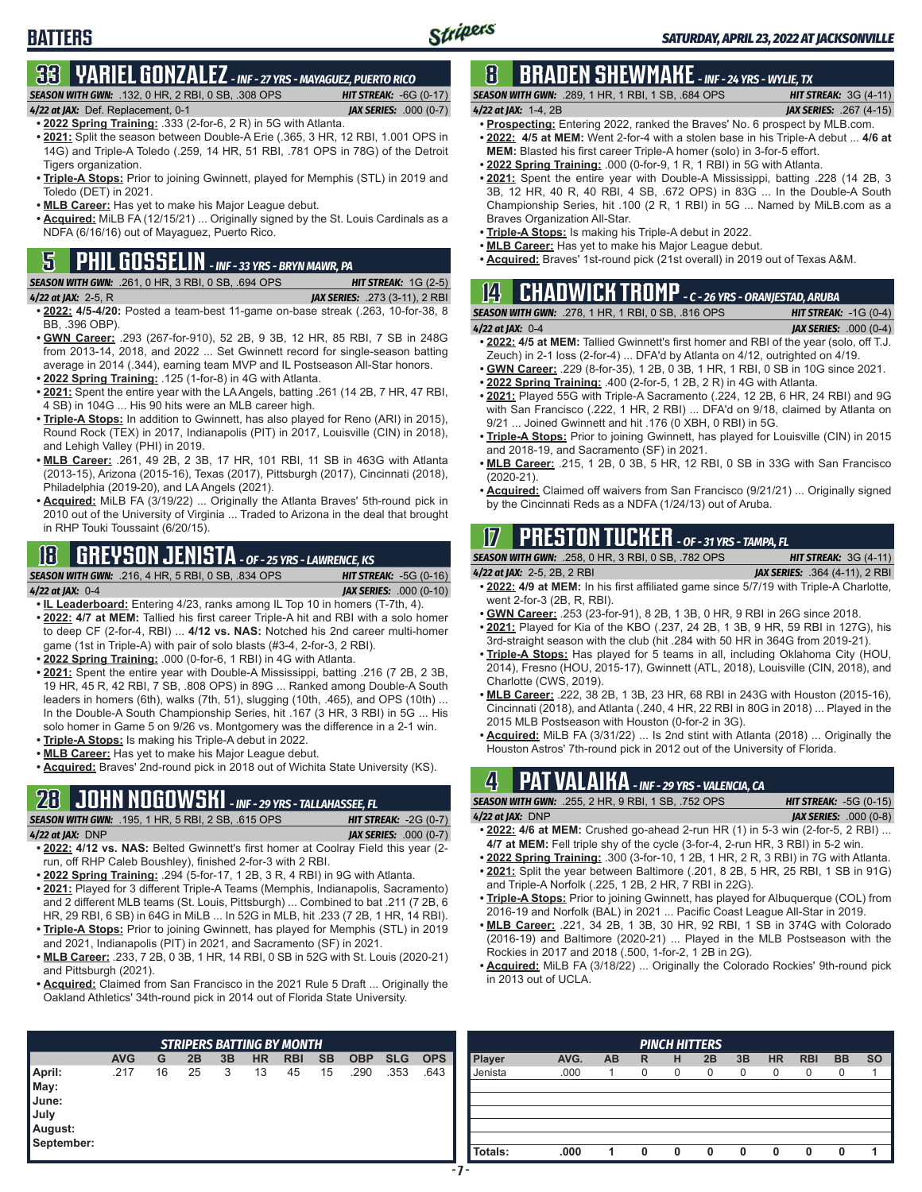# **BATTERS**

# **33 YARIEL GONZALEZ** *- INF - 27 YRS - MAYAGUEZ, PUERTO RICO*

*SEASON WITH GWN:*.132, 0 HR, 2 RBI, 0 SB, .308 OPS *HIT STREAK:* -6G (0-17)

*4/22 at JAX:*Def. Replacement, 0-1 *JAX SERIES:* .000 (0-7)

- **• 2022 Spring Training:** .333 (2-for-6, 2 R) in 5G with Atlanta. **• 2021:** Split the season between Double-A Erie (.365, 3 HR, 12 RBI, 1.001 OPS in 14G) and Triple-A Toledo (.259, 14 HR, 51 RBI, .781 OPS in 78G) of the Detroit Tigers organization
- **• Triple-A Stops:** Prior to joining Gwinnett, played for Memphis (STL) in 2019 and Toledo (DET) in 2021.
- **• MLB Career:** Has yet to make his Major League debut.
- **• Acquired:** MiLB FA (12/15/21) ... Originally signed by the St. Louis Cardinals as a NDFA (6/16/16) out of Mayaguez, Puerto Rico.

# **5 PHIL GOSSELIN** *- INF - 33 YRS - BRYN MAWR, PA*

*SEASON WITH GWN:*.261, 0 HR, 3 RBI, 0 SB, .694 OPS *HIT STREAK:* 1G (2-5)

- *4/22 at JAX:*2-5, R *JAX SERIES:* .273 (3-11), 2 RBI **• 2022: 4/5-4/20:** Posted a team-best 11-game on-base streak (.263, 10-for-38, 8 BB, .396 OBP).
- **• GWN Career:** .293 (267-for-910), 52 2B, 9 3B, 12 HR, 85 RBI, 7 SB in 248G from 2013-14, 2018, and 2022 ... Set Gwinnett record for single-season batting average in 2014 (.344), earning team MVP and IL Postseason All-Star honors.
- **• 2022 Spring Training:** .125 (1-for-8) in 4G with Atlanta.
- **• 2021:** Spent the entire year with the LA Angels, batting .261 (14 2B, 7 HR, 47 RBI, 4 SB) in 104G ... His 90 hits were an MLB career high.
- **• Triple-A Stops:** In addition to Gwinnett, has also played for Reno (ARI) in 2015), Round Rock (TEX) in 2017, Indianapolis (PIT) in 2017, Louisville (CIN) in 2018), and Lehigh Valley (PHI) in 2019.
- **• MLB Career:** .261, 49 2B, 2 3B, 17 HR, 101 RBI, 11 SB in 463G with Atlanta (2013-15), Arizona (2015-16), Texas (2017), Pittsburgh (2017), Cincinnati (2018), Philadelphia (2019-20), and LA Angels (2021).
- **• Acquired:** MiLB FA (3/19/22) ... Originally the Atlanta Braves' 5th-round pick in 2010 out of the University of Virginia ... Traded to Arizona in the deal that brought in RHP Touki Toussaint (6/20/15).

# **18 GREYSON JENISTA** *- OF - 25 YRS - LAWRENCE, KS*

*SEASON WITH GWN:*.216, 4 HR, 5 RBI, 0 SB, .834 OPS *HIT STREAK:* -5G (0-16)

- *4/22 at JAX:*0-4 *JAX SERIES:* .000 (0-10) **• IL Leaderboard:** Entering 4/23, ranks among IL Top 10 in homers (T-7th, 4). **• 2022: 4/7 at MEM:** Tallied his first career Triple-A hit and RBI with a solo homer to deep CF (2-for-4, RBI) ... **4/12 vs. NAS:** Notched his 2nd career multi-homer game (1st in Triple-A) with pair of solo blasts (#3-4, 2-for-3, 2 RBI).
- **• 2022 Spring Training:** .000 (0-for-6, 1 RBI) in 4G with Atlanta.
- **• 2021:** Spent the entire year with Double-A Mississippi, batting .216 (7 2B, 2 3B, 19 HR, 45 R, 42 RBI, 7 SB, .808 OPS) in 89G ... Ranked among Double-A South leaders in homers (6th), walks (7th, 51), slugging (10th, .465), and OPS (10th) ... In the Double-A South Championship Series, hit .167 (3 HR, 3 RBI) in 5G ... His solo homer in Game 5 on 9/26 vs. Montgomery was the difference in a 2-1 win.
- **• Triple-A Stops:** Is making his Triple-A debut in 2022.
- **• MLB Career:** Has yet to make his Major League debut.
- **• Acquired:** Braves' 2nd-round pick in 2018 out of Wichita State University (KS).

# **28 JOHN NOGOWSKI** *- INF - 29 YRS - TALLAHASSEE, FL*

|                  | <b>SEASON WITH GWN:</b> .195, 1 HR, 5 RBI, 2 SB, .615 OPS .                      | <b>HIT STREAK:</b> $-2G(0-7)$ |
|------------------|----------------------------------------------------------------------------------|-------------------------------|
| 4/22 at JAX: DNP |                                                                                  | <b>JAX SERIES:</b> .000 (0-7) |
|                  | • 2002) AI12 ve NAS: Raltad Gwinnatt's first homar at Coolray Fiald this year (2 |                               |

- **• 2022: 4/12 vs. NAS:** Belted Gwinnett's first homer at Coolray Field this year (2 run, off RHP Caleb Boushley), finished 2-for-3 with 2 RBI.
- **• 2022 Spring Training:** .294 (5-for-17, 1 2B, 3 R, 4 RBI) in 9G with Atlanta.
- **• 2021:** Played for 3 different Triple-A Teams (Memphis, Indianapolis, Sacramento) and 2 different MLB teams (St. Louis, Pittsburgh) ... Combined to bat .211 (7 2B, 6 HR, 29 RBI, 6 SB) in 64G in MiLB ... In 52G in MLB, hit .233 (7 2B, 1 HR, 14 RBI).
- **• Triple-A Stops:** Prior to joining Gwinnett, has played for Memphis (STL) in 2019 and 2021, Indianapolis (PIT) in 2021, and Sacramento (SF) in 2021.
- **• MLB Career:** .233, 7 2B, 0 3B, 1 HR, 14 RBI, 0 SB in 52G with St. Louis (2020-21) and Pittsburgh (2021).
- **• Acquired:** Claimed from San Francisco in the 2021 Rule 5 Draft ... Originally the Oakland Athletics' 34th-round pick in 2014 out of Florida State University.

### **8 BRADEN SHEWMAKE** *- INF - 24 YRS - WYLIE, TX SEASON WITH GWN:*.289, 1 HR, 1 RBI, 1 SB, .684 OPS *HIT STREAK:* 3G (4-11)

- *4/22 at JAX:*1-4, 2B *JAX SERIES:* .267 (4-15) **• Prospecting:** Entering 2022, ranked the Braves' No. 6 prospect by MLB.com. **• 2022: 4/5 at MEM:** Went 2-for-4 with a stolen base in his Triple-A debut ... **4/6 at**
- **MEM:** Blasted his first career Triple-A homer (solo) in 3-for-5 effort.
- **• 2022 Spring Training:** .000 (0-for-9, 1 R, 1 RBI) in 5G with Atlanta.
- **• 2021:** Spent the entire year with Double-A Mississippi, batting .228 (14 2B, 3 3B, 12 HR, 40 R, 40 RBI, 4 SB, .672 OPS) in 83G ... In the Double-A South Championship Series, hit .100 (2 R, 1 RBI) in 5G ... Named by MiLB.com as a Braves Organization All-Star.
- **• Triple-A Stops:** Is making his Triple-A debut in 2022.
- **• MLB Career:** Has yet to make his Major League debut.
- **• Acquired:** Braves' 1st-round pick (21st overall) in 2019 out of Texas A&M.

# **14 CHADWICK TROMP** *- C - 26 YRS - ORANJESTAD, ARUBA*

*SEASON WITH GWN:*.278, 1 HR, 1 RBI, 0 SB, .816 OPS *HIT STREAK:* -1G (0-4) *4/22 at JAX:*0-4 *JAX SERIES:* .000 (0-4)

- **• 2022: 4/5 at MEM:** Tallied Gwinnett's first homer and RBI of the year (solo, off T.J. Zeuch) in 2-1 loss (2-for-4) ... DFA'd by Atlanta on 4/12, outrighted on 4/19.
- **• GWN Career:** .229 (8-for-35), 1 2B, 0 3B, 1 HR, 1 RBI, 0 SB in 10G since 2021. **• 2022 Spring Training:** .400 (2-for-5, 1 2B, 2 R) in 4G with Atlanta.
- **• 2021:** Played 55G with Triple-A Sacramento (.224, 12 2B, 6 HR, 24 RBI) and 9G with San Francisco (.222, 1 HR, 2 RBI) ... DFA'd on 9/18, claimed by Atlanta on 9/21 ... Joined Gwinnett and hit .176 (0 XBH, 0 RBI) in 5G.
- **• Triple-A Stops:** Prior to joining Gwinnett, has played for Louisville (CIN) in 2015 and 2018-19, and Sacramento (SF) in 2021.
- **• MLB Career:** .215, 1 2B, 0 3B, 5 HR, 12 RBI, 0 SB in 33G with San Francisco (2020-21).
- **• Acquired:** Claimed off waivers from San Francisco (9/21/21) ... Originally signed by the Cincinnati Reds as a NDFA (1/24/13) out of Aruba.

# **17 PRESTON TUCKER** *- OF - 31 YRS - TAMPA, FL*

*SEASON WITH GWN:*.258, 0 HR, 3 RBI, 0 SB, .782 OPS *HIT STREAK:* 3G (4-11) *4/22 at JAX:*2-5, 2B, 2 RBI *JAX SERIES:* .364 (4-11), 2 RBI

- **• 2022: 4/9 at MEM:** In his first affiliated game since 5/7/19 with Triple-A Charlotte, went 2-for-3 (2B, R, RBI).
- **• GWN Career:** .253 (23-for-91), 8 2B, 1 3B, 0 HR, 9 RBI in 26G since 2018.
- **• 2021:** Played for Kia of the KBO (.237, 24 2B, 1 3B, 9 HR, 59 RBI in 127G), his 3rd-straight season with the club (hit .284 with 50 HR in 364G from 2019-21).
- **• Triple-A Stops:** Has played for 5 teams in all, including Oklahoma City (HOU, 2014), Fresno (HOU, 2015-17), Gwinnett (ATL, 2018), Louisville (CIN, 2018), and Charlotte (CWS, 2019).
- **• MLB Career:** .222, 38 2B, 1 3B, 23 HR, 68 RBI in 243G with Houston (2015-16), Cincinnati (2018), and Atlanta (.240, 4 HR, 22 RBI in 80G in 2018) ... Played in the 2015 MLB Postseason with Houston (0-for-2 in 3G).
- **• Acquired:** MiLB FA (3/31/22) ... Is 2nd stint with Atlanta (2018) ... Originally the Houston Astros' 7th-round pick in 2012 out of the University of Florida.

# **4 PAT VALAIKA** *- INF - 29 YRS - VALENCIA, CA*

| <b>SEASON WITH GWN:</b> .255, 2 HR, 9 RBI, 1 SB, .752 OPS                     | <b>HIT STREAK: -5G (0-15)</b> |
|-------------------------------------------------------------------------------|-------------------------------|
| $4/22$ at IAX: DNP                                                            | <b>JAX SERIES:</b> .000 (0-8) |
| • 2022: 4/6 at MEM: Crushed go-ahead 2-run HR (1) in 5-3 win (2-for-5, 2 RBI) |                               |

- **4/7 at MEM:** Fell triple shy of the cycle (3-for-4, 2-run HR, 3 RBI) in 5-2 win.
- **• 2022 Spring Training:** .300 (3-for-10, 1 2B, 1 HR, 2 R, 3 RBI) in 7G with Atlanta. **• 2021:** Split the year between Baltimore (.201, 8 2B, 5 HR, 25 RBI, 1 SB in 91G)
- and Triple-A Norfolk (.225, 1 2B, 2 HR, 7 RBI in 22G). **• Triple-A Stops:** Prior to joining Gwinnett, has played for Albuquerque (COL) from 2016-19 and Norfolk (BAL) in 2021 ... Pacific Coast League All-Star in 2019.
- **• MLB Career:** .221, 34 2B, 1 3B, 30 HR, 92 RBI, 1 SB in 374G with Colorado
- (2016-19) and Baltimore (2020-21) ... Played in the MLB Postseason with the Rockies in 2017 and 2018 (.500, 1-for-2, 1 2B in 2G).
- **• Acquired:** MiLB FA (3/18/22) ... Originally the Colorado Rockies' 9th-round pick in 2013 out of UCLA.

|            |            |    |    |    |           | <b>STRIPERS BATTING BY MONTH</b> |           |            |            |            |         |      |           | <b>PINCH HITTERS</b> |   |    |    |           |            |           |  |
|------------|------------|----|----|----|-----------|----------------------------------|-----------|------------|------------|------------|---------|------|-----------|----------------------|---|----|----|-----------|------------|-----------|--|
|            | <b>AVG</b> | G  | 2B | 3B | <b>HR</b> | <b>RBI</b>                       | <b>SB</b> | <b>OBP</b> | <b>SLG</b> | <b>OPS</b> | Player  | AVG. | <b>AB</b> | R                    | н | 2B | 3B | <b>HR</b> | <b>RBI</b> | <b>BB</b> |  |
| April:     | .217       | 16 | 25 | 3  | 13        | 45                               | 15        | .290       | .353       | .643       | Jenista | .000 |           |                      | U |    |    |           |            |           |  |
| May:       |            |    |    |    |           |                                  |           |            |            |            |         |      |           |                      |   |    |    |           |            |           |  |
| June:      |            |    |    |    |           |                                  |           |            |            |            |         |      |           |                      |   |    |    |           |            |           |  |
| July       |            |    |    |    |           |                                  |           |            |            |            |         |      |           |                      |   |    |    |           |            |           |  |
| August:    |            |    |    |    |           |                                  |           |            |            |            |         |      |           |                      |   |    |    |           |            |           |  |
| September: |            |    |    |    |           |                                  |           |            |            |            |         |      |           |                      |   |    |    |           |            |           |  |
|            |            |    |    |    |           |                                  |           |            |            |            | Totals: | .000 |           | 0                    | 0 |    | 0  | 0         | n.         | 0         |  |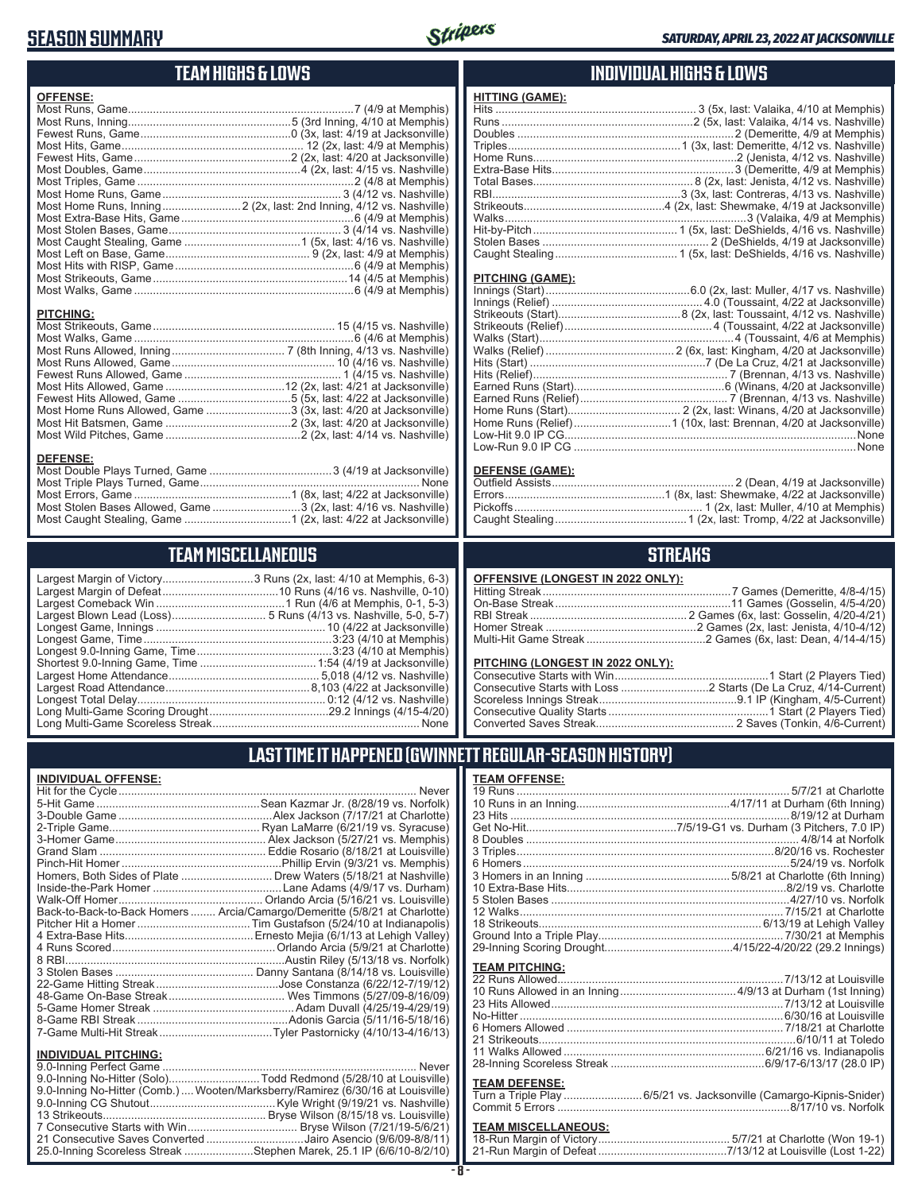# **SEASON SUMMARY**



# **TEAM HIGHS & LOWS**

| <b>OFFENSE:</b> |  |
|-----------------|--|
|                 |  |
|                 |  |
|                 |  |
|                 |  |
|                 |  |
|                 |  |
|                 |  |
|                 |  |
|                 |  |
|                 |  |
|                 |  |
|                 |  |
|                 |  |
|                 |  |
|                 |  |
|                 |  |
|                 |  |

#### **PITCHING:**

| Most Home Runs Allowed, Game 3 (3x, last: 4/20 at Jacksonville) |  |
|-----------------------------------------------------------------|--|
|                                                                 |  |
|                                                                 |  |

#### **DEFENSE:**

| Most Stolen Bases Allowed, Game 3 (2x, last: 4/16 vs. Nashville) |  |
|------------------------------------------------------------------|--|
|                                                                  |  |

# **TEAM MISCELLANEOUS**

| Largest Margin of Victory3 Runs (2x, last: 4/10 at Memphis, 6-3) |  |
|------------------------------------------------------------------|--|
|                                                                  |  |
|                                                                  |  |
| Largest Blown Lead (Loss) 5 Runs (4/13 vs. Nashville, 5-0, 5-7)  |  |
|                                                                  |  |
| Longest Game, Time…………………………………………………3:23 (4/10 at Memphis)      |  |
|                                                                  |  |
|                                                                  |  |
|                                                                  |  |
|                                                                  |  |
|                                                                  |  |
|                                                                  |  |
|                                                                  |  |
|                                                                  |  |

### **INDIVIDUAL HIGHS & LOWS**

| <b>HITTING (GAME):</b> |  |
|------------------------|--|
|                        |  |
|                        |  |
|                        |  |
|                        |  |
|                        |  |
|                        |  |
|                        |  |
|                        |  |
|                        |  |
|                        |  |
|                        |  |
|                        |  |
|                        |  |
|                        |  |

#### **PITCHING (GAME):**

| None |
|------|
|      |
|      |

#### **DEFENSE (GAME):**

## **STREAKS**

| OFFENSIVE (LONGEST IN 2022 ONLY): |  |  |
|-----------------------------------|--|--|
|-----------------------------------|--|--|

#### **PITCHING (LONGEST IN 2022 ONLY):**

### **LAST TIME IT HAPPENED (GWINNETT REGULAR-SEASON HISTORY)**

#### **INDIVIDUAL OFFENSE:**

|                             | Homers, Both Sides of Plate  Drew Waters (5/18/21 at Nashville)            |
|-----------------------------|----------------------------------------------------------------------------|
|                             |                                                                            |
|                             |                                                                            |
|                             | Back-to-Back-to-Back Homers  Arcia/Camargo/Demeritte (5/8/21 at Charlotte) |
|                             |                                                                            |
|                             |                                                                            |
|                             |                                                                            |
|                             |                                                                            |
|                             |                                                                            |
|                             |                                                                            |
|                             |                                                                            |
|                             |                                                                            |
|                             |                                                                            |
|                             |                                                                            |
| <b>INDIVIDUAL PITCHING:</b> |                                                                            |
|                             |                                                                            |

| 9.0-Inning No-Hitter (Comb.)  Wooten/Marksberry/Ramirez (6/30/16 at Louisville) |  |
|---------------------------------------------------------------------------------|--|
|                                                                                 |  |
|                                                                                 |  |
|                                                                                 |  |
| 21 Consecutive Saves Converted Jairo Asencio (9/6/09-8/8/11)                    |  |
| 25.0-Inning Scoreless Streak Stephen Marek, 25.1 IP (6/6/10-8/2/10)             |  |
|                                                                                 |  |

### **- 8 -**

| <b>TEAM OFFENSE:</b>  |                                                              |
|-----------------------|--------------------------------------------------------------|
|                       |                                                              |
|                       |                                                              |
|                       |                                                              |
|                       |                                                              |
|                       |                                                              |
|                       |                                                              |
|                       |                                                              |
|                       |                                                              |
|                       |                                                              |
|                       |                                                              |
|                       |                                                              |
|                       |                                                              |
|                       |                                                              |
|                       |                                                              |
| <b>TEAM PITCHING:</b> |                                                              |
|                       |                                                              |
|                       |                                                              |
|                       | 23 Hits Allowed………………………………………………………………7/13/12 at Louisville |
|                       |                                                              |
|                       |                                                              |
|                       |                                                              |
|                       |                                                              |
|                       |                                                              |
| <b>TEAM DEFENSE:</b>  |                                                              |

#### **TEAM DEFENSE:**

| Turn a Triple Play 6/5/21 vs. Jacksonville (Camargo-Kipnis-Snider) |  |  |
|--------------------------------------------------------------------|--|--|
|                                                                    |  |  |

| <b>TEAM MISCELLANEOUS:</b> |  |
|----------------------------|--|
|                            |  |
|                            |  |